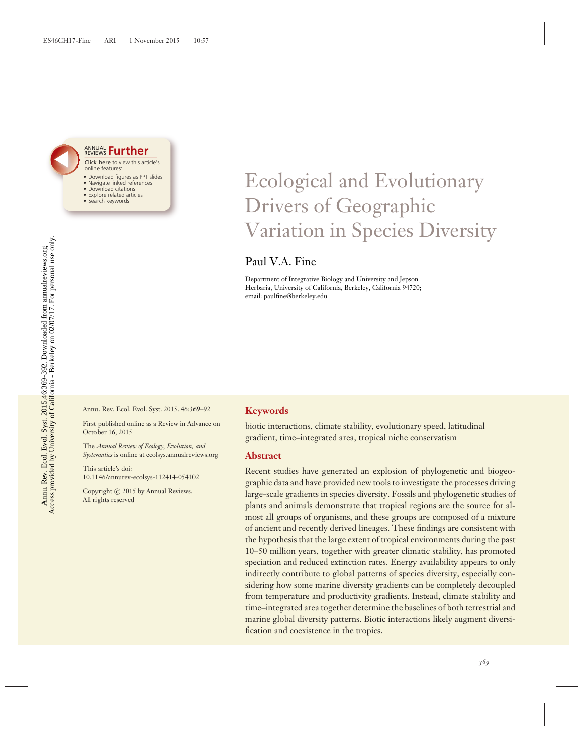

#### Click here to view this article's online features: • Download figures as PPT slides ANNUAL REVIEWS **[Further](http://www.annualreviews.org/doi/full/10.1146/annurev-ecolsys-112414-054102)**

- Navigate linked references
- Download citations
- Explore related articles
- Search keywords

## Ecological and Evolutionary Drivers of Geographic Variation in Species Diversity

Paul V.A. Fine

Department of Integrative Biology and University and Jepson Herbaria, University of California, Berkeley, California 94720; email: paulfine@berkeley.edu

Annu. Rev. Ecol. Evol. Syst. 2015. 46:369–92

First published online as a Review in Advance on October 16, 2015

The *Annual Review of Ecology, Evolution, and Systematics* is online at ecolsys.annualreviews.org

This article's doi: 10.1146/annurev-ecolsys-112414-054102

Copyright © 2015 by Annual Reviews. All rights reserved

#### **Keywords**

biotic interactions, climate stability, evolutionary speed, latitudinal gradient, time–integrated area, tropical niche conservatism

#### **Abstract**

Recent studies have generated an explosion of phylogenetic and biogeographic data and have provided new tools to investigate the processes driving large-scale gradients in species diversity. Fossils and phylogenetic studies of plants and animals demonstrate that tropical regions are the source for almost all groups of organisms, and these groups are composed of a mixture of ancient and recently derived lineages. These findings are consistent with the hypothesis that the large extent of tropical environments during the past 10–50 million years, together with greater climatic stability, has promoted speciation and reduced extinction rates. Energy availability appears to only indirectly contribute to global patterns of species diversity, especially considering how some marine diversity gradients can be completely decoupled from temperature and productivity gradients. Instead, climate stability and time–integrated area together determine the baselines of both terrestrial and marine global diversity patterns. Biotic interactions likely augment diversification and coexistence in the tropics.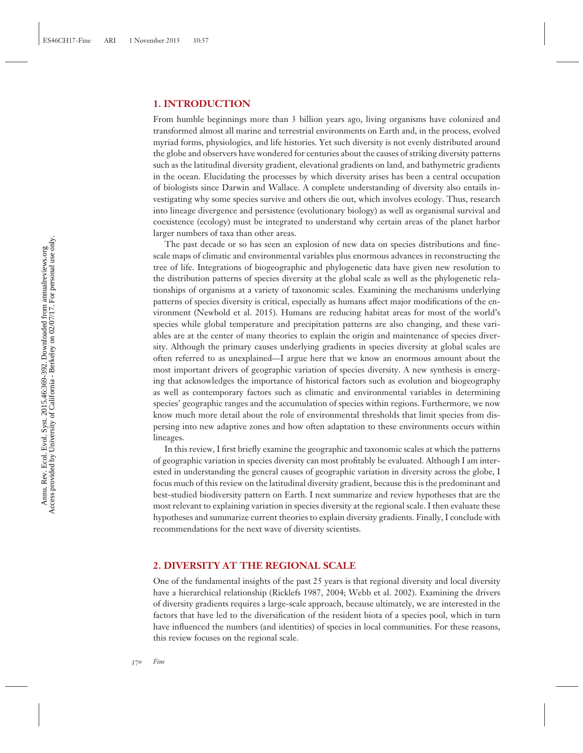#### **1. INTRODUCTION**

From humble beginnings more than 3 billion years ago, living organisms have colonized and transformed almost all marine and terrestrial environments on Earth and, in the process, evolved myriad forms, physiologies, and life histories. Yet such diversity is not evenly distributed around the globe and observers have wondered for centuries about the causes of striking diversity patterns such as the latitudinal diversity gradient, elevational gradients on land, and bathymetric gradients in the ocean. Elucidating the processes by which diversity arises has been a central occupation of biologists since Darwin and Wallace. A complete understanding of diversity also entails investigating why some species survive and others die out, which involves ecology. Thus, research into lineage divergence and persistence (evolutionary biology) as well as organismal survival and coexistence (ecology) must be integrated to understand why certain areas of the planet harbor larger numbers of taxa than other areas.

The past decade or so has seen an explosion of new data on species distributions and finescale maps of climatic and environmental variables plus enormous advances in reconstructing the tree of life. Integrations of biogeographic and phylogenetic data have given new resolution to the distribution patterns of species diversity at the global scale as well as the phylogenetic relationships of organisms at a variety of taxonomic scales. Examining the mechanisms underlying patterns of species diversity is critical, especially as humans affect major modifications of the environment (Newbold et al. 2015). Humans are reducing habitat areas for most of the world's species while global temperature and precipitation patterns are also changing, and these variables are at the center of many theories to explain the origin and maintenance of species diversity. Although the primary causes underlying gradients in species diversity at global scales are often referred to as unexplained—I argue here that we know an enormous amount about the most important drivers of geographic variation of species diversity. A new synthesis is emerging that acknowledges the importance of historical factors such as evolution and biogeography as well as contemporary factors such as climatic and environmental variables in determining species' geographic ranges and the accumulation of species within regions. Furthermore, we now know much more detail about the role of environmental thresholds that limit species from dispersing into new adaptive zones and how often adaptation to these environments occurs within lineages.

In this review, I first briefly examine the geographic and taxonomic scales at which the patterns of geographic variation in species diversity can most profitably be evaluated. Although I am interested in understanding the general causes of geographic variation in diversity across the globe, I focus much of this review on the latitudinal diversity gradient, because this is the predominant and best-studied biodiversity pattern on Earth. I next summarize and review hypotheses that are the most relevant to explaining variation in species diversity at the regional scale. I then evaluate these hypotheses and summarize current theories to explain diversity gradients. Finally, I conclude with recommendations for the next wave of diversity scientists.

#### **2. DIVERSITY AT THE REGIONAL SCALE**

One of the fundamental insights of the past 25 years is that regional diversity and local diversity have a hierarchical relationship (Ricklefs 1987, 2004; Webb et al. 2002). Examining the drivers of diversity gradients requires a large-scale approach, because ultimately, we are interested in the factors that have led to the diversification of the resident biota of a species pool, which in turn have influenced the numbers (and identities) of species in local communities. For these reasons, this review focuses on the regional scale.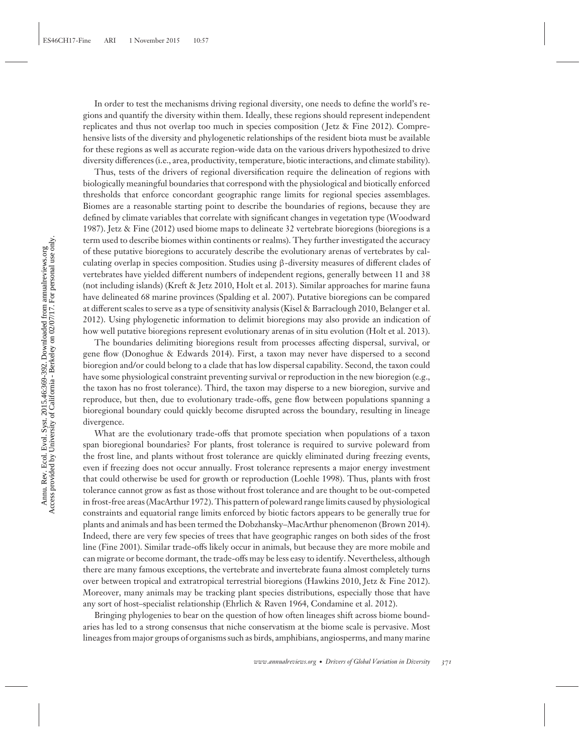In order to test the mechanisms driving regional diversity, one needs to define the world's regions and quantify the diversity within them. Ideally, these regions should represent independent replicates and thus not overlap too much in species composition ( Jetz & Fine 2012). Comprehensive lists of the diversity and phylogenetic relationships of the resident biota must be available for these regions as well as accurate region-wide data on the various drivers hypothesized to drive diversity differences (i.e., area, productivity, temperature, biotic interactions, and climate stability).

Thus, tests of the drivers of regional diversification require the delineation of regions with biologically meaningful boundaries that correspond with the physiological and biotically enforced thresholds that enforce concordant geographic range limits for regional species assemblages. Biomes are a reasonable starting point to describe the boundaries of regions, because they are defined by climate variables that correlate with significant changes in vegetation type (Woodward 1987). Jetz & Fine (2012) used biome maps to delineate 32 vertebrate bioregions (bioregions is a term used to describe biomes within continents or realms). They further investigated the accuracy of these putative bioregions to accurately describe the evolutionary arenas of vertebrates by calculating overlap in species composition. Studies using β-diversity measures of different clades of vertebrates have yielded different numbers of independent regions, generally between 11 and 38 (not including islands) (Kreft & Jetz 2010, Holt et al. 2013). Similar approaches for marine fauna have delineated 68 marine provinces (Spalding et al. 2007). Putative bioregions can be compared at different scales to serve as a type of sensitivity analysis (Kisel & Barraclough 2010, Belanger et al. 2012). Using phylogenetic information to delimit bioregions may also provide an indication of how well putative bioregions represent evolutionary arenas of in situ evolution (Holt et al. 2013).

The boundaries delimiting bioregions result from processes affecting dispersal, survival, or gene flow (Donoghue & Edwards 2014). First, a taxon may never have dispersed to a second bioregion and/or could belong to a clade that has low dispersal capability. Second, the taxon could have some physiological constraint preventing survival or reproduction in the new bioregion (e.g., the taxon has no frost tolerance). Third, the taxon may disperse to a new bioregion, survive and reproduce, but then, due to evolutionary trade-offs, gene flow between populations spanning a bioregional boundary could quickly become disrupted across the boundary, resulting in lineage divergence.

What are the evolutionary trade-offs that promote speciation when populations of a taxon span bioregional boundaries? For plants, frost tolerance is required to survive poleward from the frost line, and plants without frost tolerance are quickly eliminated during freezing events, even if freezing does not occur annually. Frost tolerance represents a major energy investment that could otherwise be used for growth or reproduction (Loehle 1998). Thus, plants with frost tolerance cannot grow as fast as those without frost tolerance and are thought to be out-competed in frost-free areas (MacArthur 1972). This pattern of poleward range limits caused by physiological constraints and equatorial range limits enforced by biotic factors appears to be generally true for plants and animals and has been termed the Dobzhansky–MacArthur phenomenon (Brown 2014). Indeed, there are very few species of trees that have geographic ranges on both sides of the frost line (Fine 2001). Similar trade-offs likely occur in animals, but because they are more mobile and can migrate or become dormant, the trade-offs may be less easy to identify. Nevertheless, although there are many famous exceptions, the vertebrate and invertebrate fauna almost completely turns over between tropical and extratropical terrestrial bioregions (Hawkins 2010, Jetz & Fine 2012). Moreover, many animals may be tracking plant species distributions, especially those that have any sort of host–specialist relationship (Ehrlich & Raven 1964, Condamine et al. 2012).

Bringing phylogenies to bear on the question of how often lineages shift across biome boundaries has led to a strong consensus that niche conservatism at the biome scale is pervasive. Most lineages from major groups of organisms such as birds, amphibians, angiosperms, and many marine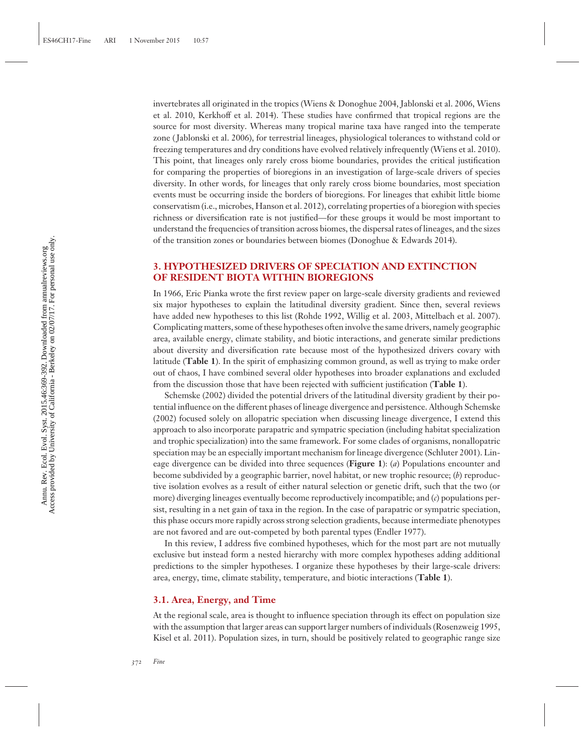invertebrates all originated in the tropics (Wiens & Donoghue 2004, Jablonski et al. 2006, Wiens et al. 2010, Kerkhoff et al. 2014). These studies have confirmed that tropical regions are the source for most diversity. Whereas many tropical marine taxa have ranged into the temperate zone ( Jablonski et al. 2006), for terrestrial lineages, physiological tolerances to withstand cold or freezing temperatures and dry conditions have evolved relatively infrequently (Wiens et al. 2010). This point, that lineages only rarely cross biome boundaries, provides the critical justification for comparing the properties of bioregions in an investigation of large-scale drivers of species diversity. In other words, for lineages that only rarely cross biome boundaries, most speciation events must be occurring inside the borders of bioregions. For lineages that exhibit little biome conservatism (i.e., microbes, Hanson et al. 2012), correlating properties of a bioregion with species richness or diversification rate is not justified—for these groups it would be most important to understand the frequencies of transition across biomes, the dispersal rates of lineages, and the sizes of the transition zones or boundaries between biomes (Donoghue & Edwards 2014).

#### **3. HYPOTHESIZED DRIVERS OF SPECIATION AND EXTINCTION OF RESIDENT BIOTA WITHIN BIOREGIONS**

In 1966, Eric Pianka wrote the first review paper on large-scale diversity gradients and reviewed six major hypotheses to explain the latitudinal diversity gradient. Since then, several reviews have added new hypotheses to this list (Rohde 1992, Willig et al. 2003, Mittelbach et al. 2007). Complicating matters, some of these hypotheses often involve the same drivers, namely geographic area, available energy, climate stability, and biotic interactions, and generate similar predictions about diversity and diversification rate because most of the hypothesized drivers covary with latitude (**Table 1**). In the spirit of emphasizing common ground, as well as trying to make order out of chaos, I have combined several older hypotheses into broader explanations and excluded from the discussion those that have been rejected with sufficient justification (**Table 1**).

Schemske (2002) divided the potential drivers of the latitudinal diversity gradient by their potential influence on the different phases of lineage divergence and persistence. Although Schemske (2002) focused solely on allopatric speciation when discussing lineage divergence, I extend this approach to also incorporate parapatric and sympatric speciation (including habitat specialization and trophic specialization) into the same framework. For some clades of organisms, nonallopatric speciation may be an especially important mechanism for lineage divergence (Schluter 2001). Lineage divergence can be divided into three sequences (**Figure 1**): (*a*) Populations encounter and become subdivided by a geographic barrier, novel habitat, or new trophic resource; (*b*) reproductive isolation evolves as a result of either natural selection or genetic drift, such that the two (or more) diverging lineages eventually become reproductively incompatible; and (*c*) populations persist, resulting in a net gain of taxa in the region. In the case of parapatric or sympatric speciation, this phase occurs more rapidly across strong selection gradients, because intermediate phenotypes are not favored and are out-competed by both parental types (Endler 1977).

In this review, I address five combined hypotheses, which for the most part are not mutually exclusive but instead form a nested hierarchy with more complex hypotheses adding additional predictions to the simpler hypotheses. I organize these hypotheses by their large-scale drivers: area, energy, time, climate stability, temperature, and biotic interactions (**Table 1**).

#### **3.1. Area, Energy, and Time**

At the regional scale, area is thought to influence speciation through its effect on population size with the assumption that larger areas can support larger numbers of individuals (Rosenzweig 1995, Kisel et al. 2011). Population sizes, in turn, should be positively related to geographic range size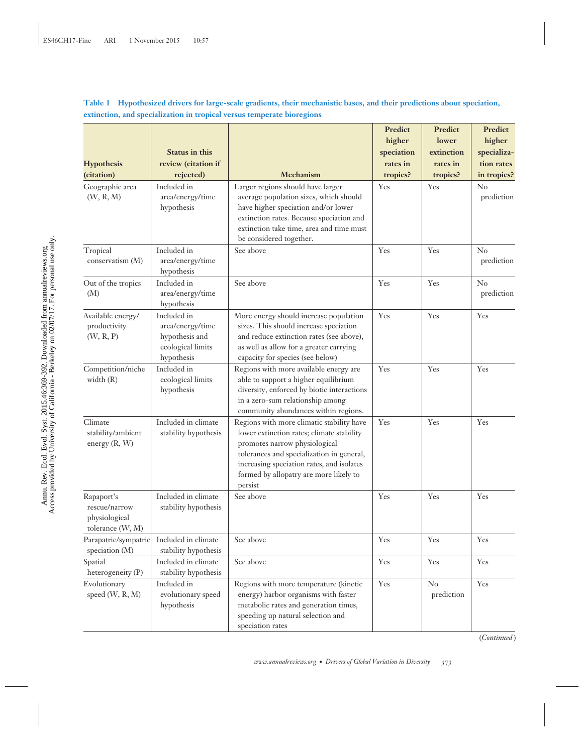**Table 1 Hypothesized drivers for large-scale gradients, their mechanistic bases, and their predictions about speciation, extinction, and specialization in tropical versus temperate bioregions**

| <b>Hypothesis</b><br>(citation)                                  | <b>Status in this</b><br>review (citation if<br>rejected)                            | Mechanism                                                                                                                                                                                                                                                              | Predict<br>higher<br>speciation<br>rates in<br>tropics? | Predict<br>lower<br>extinction<br>rates in<br>tropics? | Predict<br>higher<br>specializa-<br>tion rates<br>in tropics? |
|------------------------------------------------------------------|--------------------------------------------------------------------------------------|------------------------------------------------------------------------------------------------------------------------------------------------------------------------------------------------------------------------------------------------------------------------|---------------------------------------------------------|--------------------------------------------------------|---------------------------------------------------------------|
| Geographic area<br>(W, R, M)                                     | Included in<br>area/energy/time<br>hypothesis                                        | Larger regions should have larger<br>average population sizes, which should<br>have higher speciation and/or lower<br>extinction rates. Because speciation and<br>extinction take time, area and time must<br>be considered together.                                  | Yes                                                     | Yes                                                    | No<br>prediction                                              |
| Tropical<br>conservatism (M)                                     | Included in<br>area/energy/time<br>hypothesis                                        | See above                                                                                                                                                                                                                                                              | Yes                                                     | Yes                                                    | $\rm No$<br>prediction                                        |
| Out of the tropics<br>(M)                                        | Included in<br>area/energy/time<br>hypothesis                                        | See above                                                                                                                                                                                                                                                              | Yes                                                     | Yes                                                    | $\rm No$<br>prediction                                        |
| Available energy/<br>productivity<br>(W, R, P)                   | Included in<br>area/energy/time<br>hypothesis and<br>ecological limits<br>hypothesis | More energy should increase population<br>sizes. This should increase speciation<br>and reduce extinction rates (see above),<br>as well as allow for a greater carrying<br>capacity for species (see below)                                                            | Yes                                                     | Yes                                                    | Yes                                                           |
| Competition/niche<br>width $(R)$                                 | Included in<br>ecological limits<br>hypothesis                                       | Regions with more available energy are<br>able to support a higher equilibrium<br>diversity, enforced by biotic interactions<br>in a zero-sum relationship among<br>community abundances within regions.                                                               | Yes                                                     | Yes                                                    | Yes                                                           |
| Climate<br>stability/ambient<br>energy $(R, W)$                  | Included in climate<br>stability hypothesis                                          | Regions with more climatic stability have<br>lower extinction rates; climate stability<br>promotes narrow physiological<br>tolerances and specialization in general,<br>increasing speciation rates, and isolates<br>formed by allopatry are more likely to<br>persist | Yes                                                     | Yes                                                    | Yes                                                           |
| Rapaport's<br>rescue/narrow<br>physiological<br>tolerance (W, M) | Included in climate<br>stability hypothesis                                          | See above                                                                                                                                                                                                                                                              | Yes                                                     | Yes                                                    | Yes                                                           |
| Parapatric/sympatric<br>speciation (M)                           | Included in climate<br>stability hypothesis                                          | See above                                                                                                                                                                                                                                                              | Yes                                                     | Yes                                                    | Yes                                                           |
| Spatial<br>heterogeneity (P)                                     | Included in climate<br>stability hypothesis                                          | See above                                                                                                                                                                                                                                                              | Yes                                                     | Yes                                                    | Yes                                                           |
| Evolutionary<br>speed $(W, R, M)$                                | Included in<br>evolutionary speed<br>hypothesis                                      | Regions with more temperature (kinetic<br>energy) harbor organisms with faster<br>metabolic rates and generation times,<br>speeding up natural selection and<br>speciation rates                                                                                       | Yes                                                     | $\rm No$<br>prediction                                 | Yes                                                           |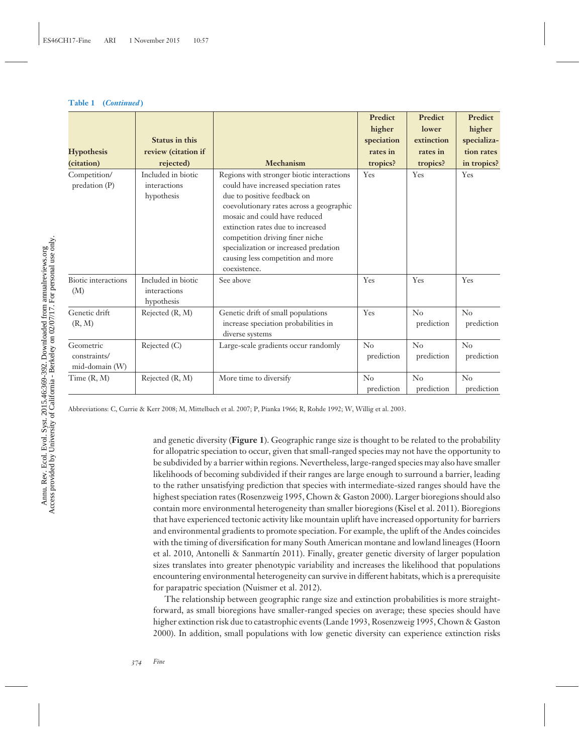#### **Table 1 (***Continued* **)**

| <b>Hypothesis</b><br>(citation)             | <b>Status in this</b><br>review (citation if<br>rejected) | Mechanism                                                                                                                                                                                                                                                                                                                                                            | <b>Predict</b><br>higher<br>speciation<br>rates in<br>tropics? | <b>Predict</b><br>lower<br>extinction<br>rates in<br>tropics? | <b>Predict</b><br>higher<br>specializa-<br>tion rates<br>in tropics? |
|---------------------------------------------|-----------------------------------------------------------|----------------------------------------------------------------------------------------------------------------------------------------------------------------------------------------------------------------------------------------------------------------------------------------------------------------------------------------------------------------------|----------------------------------------------------------------|---------------------------------------------------------------|----------------------------------------------------------------------|
| Competition/<br>predation (P)               | Included in biotic<br>interactions<br>hypothesis          | Regions with stronger biotic interactions<br>could have increased speciation rates<br>due to positive feedback on<br>coevolutionary rates across a geographic<br>mosaic and could have reduced<br>extinction rates due to increased<br>competition driving finer niche<br>specialization or increased predation<br>causing less competition and more<br>coexistence. | Yes                                                            | Yes                                                           | <b>Yes</b>                                                           |
| <b>Biotic</b> interactions<br>(M)           | Included in biotic<br>interactions<br>hypothesis          | See above                                                                                                                                                                                                                                                                                                                                                            | Yes                                                            | Yes                                                           | Yes                                                                  |
| Genetic drift<br>(R, M)                     | Rejected (R, M)                                           | Genetic drift of small populations<br>increase speciation probabilities in<br>diverse systems                                                                                                                                                                                                                                                                        | Yes                                                            | No<br>prediction                                              | $\rm No$<br>prediction                                               |
| Geometric<br>constraints/<br>mid-domain (W) | Rejected (C)                                              | Large-scale gradients occur randomly                                                                                                                                                                                                                                                                                                                                 | $\rm No$<br>prediction                                         | No<br>prediction                                              | No<br>prediction                                                     |
| Time(R, M)                                  | Rejected (R, M)                                           | More time to diversify                                                                                                                                                                                                                                                                                                                                               | $\rm No$<br>prediction                                         | No<br>prediction                                              | No<br>prediction                                                     |

Abbreviations: C, Currie & Kerr 2008; M, Mittelbach et al. 2007; P, Pianka 1966; R, Rohde 1992; W, Willig et al. 2003.

and genetic diversity (**Figure 1**). Geographic range size is thought to be related to the probability for allopatric speciation to occur, given that small-ranged species may not have the opportunity to be subdivided by a barrier within regions. Nevertheless, large-ranged species may also have smaller likelihoods of becoming subdivided if their ranges are large enough to surround a barrier, leading to the rather unsatisfying prediction that species with intermediate-sized ranges should have the highest speciation rates (Rosenzweig 1995, Chown & Gaston 2000). Larger bioregions should also contain more environmental heterogeneity than smaller bioregions (Kisel et al. 2011). Bioregions that have experienced tectonic activity like mountain uplift have increased opportunity for barriers and environmental gradients to promote speciation. For example, the uplift of the Andes coincides with the timing of diversification for many South American montane and lowland lineages (Hoorn et al. 2010, Antonelli & Sanmartín 2011). Finally, greater genetic diversity of larger population sizes translates into greater phenotypic variability and increases the likelihood that populations encountering environmental heterogeneity can survive in different habitats, which is a prerequisite for parapatric speciation (Nuismer et al. 2012).

The relationship between geographic range size and extinction probabilities is more straightforward, as small bioregions have smaller-ranged species on average; these species should have higher extinction risk due to catastrophic events (Lande 1993, Rosenzweig 1995, Chown & Gaston 2000). In addition, small populations with low genetic diversity can experience extinction risks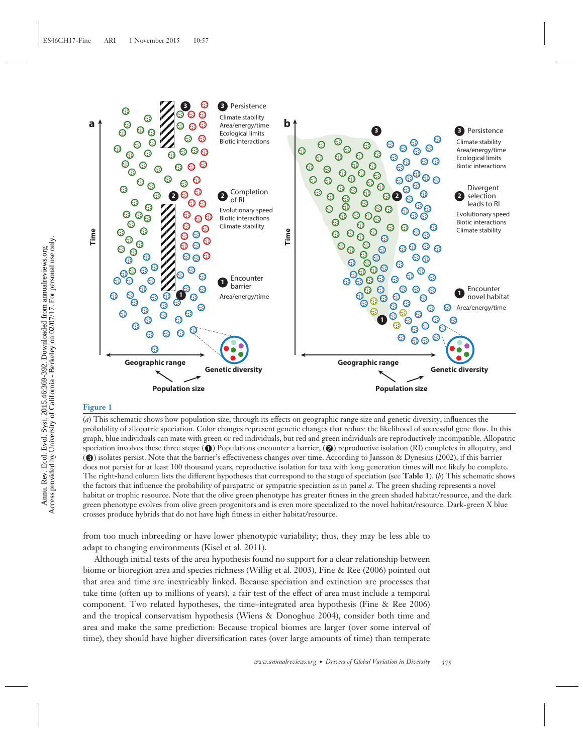

#### **Figure 1**

(*a*) This schematic shows how population size, through its effects on geographic range size and genetic diversity, influences the probability of allopatric speciation. Color changes represent genetic changes that reduce the likelihood of successful gene flow. In this graph, blue individuals can mate with green or red individuals, but red and green individuals are reproductively incompatible. Allopatric  $\mathbf{s}_P$  speciation involves these three steps: ( $\bigcirc$ ) Populations encounter a barrier, ( $\bigcirc$ ) reproductive isolation (RI) completes in allopatry, and () isolates persist. Note that the barrier's effectiveness changes over time. According to Jansson & Dynesius (2002), if this barrier does not persist for at least 100 thousand years, reproductive isolation for taxa with long generation times will not likely be complete. The right-hand column lists the different hypotheses that correspond to the stage of speciation (see **Table 1**). (*b*) This schematic shows the factors that influence the probability of parapatric or sympatric speciation as in panel *a*. The green shading represents a novel habitat or trophic resource. Note that the olive green phenotype has greater fitness in the green shaded habitat/resource, and the dark green phenotype evolves from olive green progenitors and is even more specialized to the novel habitat/resource. Dark-green X blue crosses produce hybrids that do not have high fitness in either habitat/resource.

from too much inbreeding or have lower phenotypic variability; thus, they may be less able to adapt to changing environments (Kisel et al. 2011).

Although initial tests of the area hypothesis found no support for a clear relationship between biome or bioregion area and species richness (Willig et al. 2003), Fine & Ree (2006) pointed out that area and time are inextricably linked. Because speciation and extinction are processes that take time (often up to millions of years), a fair test of the effect of area must include a temporal component. Two related hypotheses, the time–integrated area hypothesis (Fine & Ree 2006) and the tropical conservatism hypothesis (Wiens & Donoghue 2004), consider both time and area and make the same prediction: Because tropical biomes are larger (over some interval of time), they should have higher diversification rates (over large amounts of time) than temperate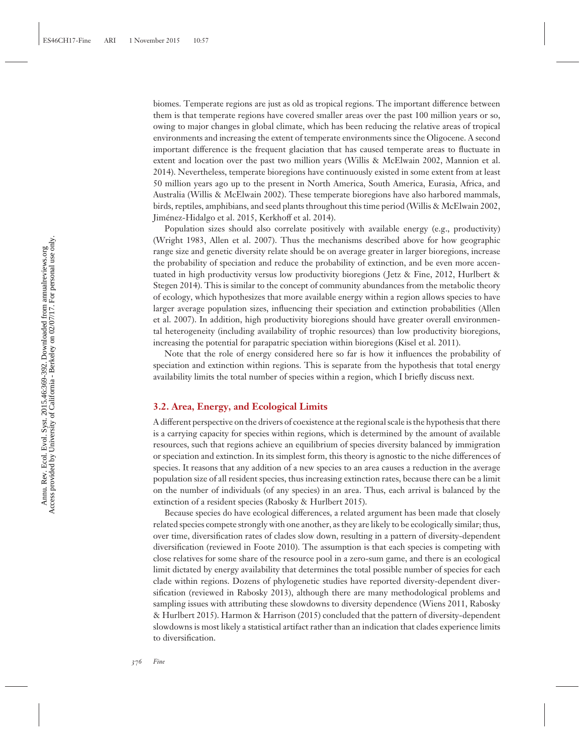biomes. Temperate regions are just as old as tropical regions. The important difference between them is that temperate regions have covered smaller areas over the past 100 million years or so, owing to major changes in global climate, which has been reducing the relative areas of tropical environments and increasing the extent of temperate environments since the Oligocene. A second important difference is the frequent glaciation that has caused temperate areas to fluctuate in extent and location over the past two million years (Willis & McElwain 2002, Mannion et al. 2014). Nevertheless, temperate bioregions have continuously existed in some extent from at least 50 million years ago up to the present in North America, South America, Eurasia, Africa, and Australia (Willis & McElwain 2002). These temperate bioregions have also harbored mammals, birds, reptiles, amphibians, and seed plants throughout this time period (Willis & McElwain 2002, Jimenez-Hidalgo et al. 2015, Kerkhoff et al. 2014). ´

Population sizes should also correlate positively with available energy (e.g., productivity) (Wright 1983, Allen et al. 2007). Thus the mechanisms described above for how geographic range size and genetic diversity relate should be on average greater in larger bioregions, increase the probability of speciation and reduce the probability of extinction, and be even more accentuated in high productivity versus low productivity bioregions ( Jetz & Fine, 2012, Hurlbert & Stegen 2014). This is similar to the concept of community abundances from the metabolic theory of ecology, which hypothesizes that more available energy within a region allows species to have larger average population sizes, influencing their speciation and extinction probabilities (Allen et al. 2007). In addition, high productivity bioregions should have greater overall environmental heterogeneity (including availability of trophic resources) than low productivity bioregions, increasing the potential for parapatric speciation within bioregions (Kisel et al. 2011).

Note that the role of energy considered here so far is how it influences the probability of speciation and extinction within regions. This is separate from the hypothesis that total energy availability limits the total number of species within a region, which I briefly discuss next.

#### **3.2. Area, Energy, and Ecological Limits**

A different perspective on the drivers of coexistence at the regional scale is the hypothesis that there is a carrying capacity for species within regions, which is determined by the amount of available resources, such that regions achieve an equilibrium of species diversity balanced by immigration or speciation and extinction. In its simplest form, this theory is agnostic to the niche differences of species. It reasons that any addition of a new species to an area causes a reduction in the average population size of all resident species, thus increasing extinction rates, because there can be a limit on the number of individuals (of any species) in an area. Thus, each arrival is balanced by the extinction of a resident species (Rabosky & Hurlbert 2015).

Because species do have ecological differences, a related argument has been made that closely related species compete strongly with one another, as they are likely to be ecologically similar; thus, over time, diversification rates of clades slow down, resulting in a pattern of diversity-dependent diversification (reviewed in Foote 2010). The assumption is that each species is competing with close relatives for some share of the resource pool in a zero-sum game, and there is an ecological limit dictated by energy availability that determines the total possible number of species for each clade within regions. Dozens of phylogenetic studies have reported diversity-dependent diversification (reviewed in Rabosky 2013), although there are many methodological problems and sampling issues with attributing these slowdowns to diversity dependence (Wiens 2011, Rabosky & Hurlbert 2015). Harmon & Harrison (2015) concluded that the pattern of diversity-dependent slowdowns is most likely a statistical artifact rather than an indication that clades experience limits to diversification.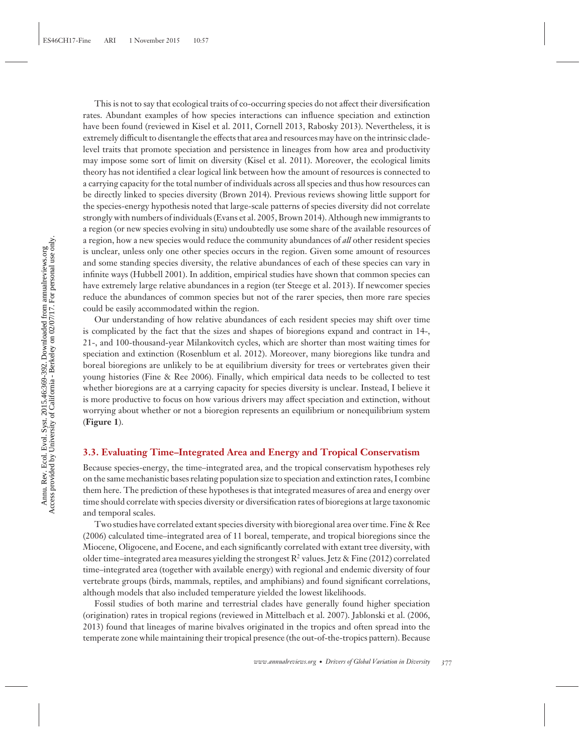This is not to say that ecological traits of co-occurring species do not affect their diversification rates. Abundant examples of how species interactions can influence speciation and extinction have been found (reviewed in Kisel et al. 2011, Cornell 2013, Rabosky 2013). Nevertheless, it is extremely difficult to disentangle the effects that area and resources may have on the intrinsic cladelevel traits that promote speciation and persistence in lineages from how area and productivity may impose some sort of limit on diversity (Kisel et al. 2011). Moreover, the ecological limits theory has not identified a clear logical link between how the amount of resources is connected to a carrying capacity for the total number of individuals across all species and thus how resources can be directly linked to species diversity (Brown 2014). Previous reviews showing little support for the species-energy hypothesis noted that large-scale patterns of species diversity did not correlate strongly with numbers of individuals (Evans et al. 2005, Brown 2014). Although new immigrants to a region (or new species evolving in situ) undoubtedly use some share of the available resources of a region, how a new species would reduce the community abundances of *all* other resident species is unclear, unless only one other species occurs in the region. Given some amount of resources and some standing species diversity, the relative abundances of each of these species can vary in infinite ways (Hubbell 2001). In addition, empirical studies have shown that common species can have extremely large relative abundances in a region (ter Steege et al. 2013). If newcomer species reduce the abundances of common species but not of the rarer species, then more rare species could be easily accommodated within the region.

Our understanding of how relative abundances of each resident species may shift over time is complicated by the fact that the sizes and shapes of bioregions expand and contract in 14-, 21-, and 100-thousand-year Milankovitch cycles, which are shorter than most waiting times for speciation and extinction (Rosenblum et al. 2012). Moreover, many bioregions like tundra and boreal bioregions are unlikely to be at equilibrium diversity for trees or vertebrates given their young histories (Fine & Ree 2006). Finally, which empirical data needs to be collected to test whether bioregions are at a carrying capacity for species diversity is unclear. Instead, I believe it is more productive to focus on how various drivers may affect speciation and extinction, without worrying about whether or not a bioregion represents an equilibrium or nonequilibrium system (**Figure 1**).

#### **3.3. Evaluating Time–Integrated Area and Energy and Tropical Conservatism**

Because species-energy, the time–integrated area, and the tropical conservatism hypotheses rely on the same mechanistic bases relating population size to speciation and extinction rates, I combine them here. The prediction of these hypotheses is that integrated measures of area and energy over time should correlate with species diversity or diversification rates of bioregions at large taxonomic and temporal scales.

Two studies have correlated extant species diversity with bioregional area over time. Fine & Ree (2006) calculated time–integrated area of 11 boreal, temperate, and tropical bioregions since the Miocene, Oligocene, and Eocene, and each significantly correlated with extant tree diversity, with older time–integrated area measures yielding the strongest  $R^2$  values. Jetz & Fine (2012) correlated time–integrated area (together with available energy) with regional and endemic diversity of four vertebrate groups (birds, mammals, reptiles, and amphibians) and found significant correlations, although models that also included temperature yielded the lowest likelihoods.

Fossil studies of both marine and terrestrial clades have generally found higher speciation (origination) rates in tropical regions (reviewed in Mittelbach et al. 2007). Jablonski et al. (2006, 2013) found that lineages of marine bivalves originated in the tropics and often spread into the temperate zone while maintaining their tropical presence (the out-of-the-tropics pattern). Because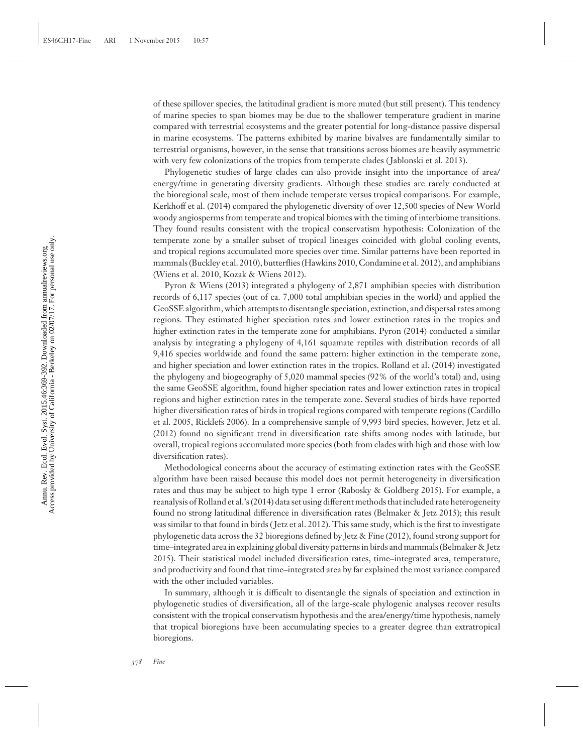of these spillover species, the latitudinal gradient is more muted (but still present). This tendency of marine species to span biomes may be due to the shallower temperature gradient in marine compared with terrestrial ecosystems and the greater potential for long-distance passive dispersal in marine ecosystems. The patterns exhibited by marine bivalves are fundamentally similar to terrestrial organisms, however, in the sense that transitions across biomes are heavily asymmetric with very few colonizations of the tropics from temperate clades ( Jablonski et al. 2013).

Phylogenetic studies of large clades can also provide insight into the importance of area/ energy/time in generating diversity gradients. Although these studies are rarely conducted at the bioregional scale, most of them include temperate versus tropical comparisons. For example, Kerkhoff et al. (2014) compared the phylogenetic diversity of over 12,500 species of New World woody angiosperms from temperate and tropical biomes with the timing of interbiome transitions. They found results consistent with the tropical conservatism hypothesis: Colonization of the temperate zone by a smaller subset of tropical lineages coincided with global cooling events, and tropical regions accumulated more species over time. Similar patterns have been reported in mammals (Buckley et al. 2010), butterflies (Hawkins 2010, Condamine et al. 2012), and amphibians (Wiens et al. 2010, Kozak & Wiens 2012).

Pyron & Wiens (2013) integrated a phylogeny of 2,871 amphibian species with distribution records of 6,117 species (out of ca. 7,000 total amphibian species in the world) and applied the GeoSSE algorithm, which attempts to disentangle speciation, extinction, and dispersal rates among regions. They estimated higher speciation rates and lower extinction rates in the tropics and higher extinction rates in the temperate zone for amphibians. Pyron (2014) conducted a similar analysis by integrating a phylogeny of 4,161 squamate reptiles with distribution records of all 9,416 species worldwide and found the same pattern: higher extinction in the temperate zone, and higher speciation and lower extinction rates in the tropics. Rolland et al. (2014) investigated the phylogeny and biogeography of 5,020 mammal species (92% of the world's total) and, using the same GeoSSE algorithm, found higher speciation rates and lower extinction rates in tropical regions and higher extinction rates in the temperate zone. Several studies of birds have reported higher diversification rates of birds in tropical regions compared with temperate regions (Cardillo et al. 2005, Ricklefs 2006). In a comprehensive sample of 9,993 bird species, however, Jetz et al. (2012) found no significant trend in diversification rate shifts among nodes with latitude, but overall, tropical regions accumulated more species (both from clades with high and those with low diversification rates).

Methodological concerns about the accuracy of estimating extinction rates with the GeoSSE algorithm have been raised because this model does not permit heterogeneity in diversification rates and thus may be subject to high type 1 error (Rabosky & Goldberg 2015). For example, a reanalysis of Rolland et al.'s (2014) data set using different methods that included rate heterogeneity found no strong latitudinal difference in diversification rates (Belmaker & Jetz 2015); this result was similar to that found in birds ( Jetz et al. 2012). This same study, which is the first to investigate phylogenetic data across the 32 bioregions defined by Jetz & Fine (2012), found strong support for time–integrated area in explaining global diversity patterns in birds and mammals (Belmaker & Jetz 2015). Their statistical model included diversification rates, time–integrated area, temperature, and productivity and found that time–integrated area by far explained the most variance compared with the other included variables.

In summary, although it is difficult to disentangle the signals of speciation and extinction in phylogenetic studies of diversification, all of the large-scale phylogenic analyses recover results consistent with the tropical conservatism hypothesis and the area/energy/time hypothesis, namely that tropical bioregions have been accumulating species to a greater degree than extratropical bioregions.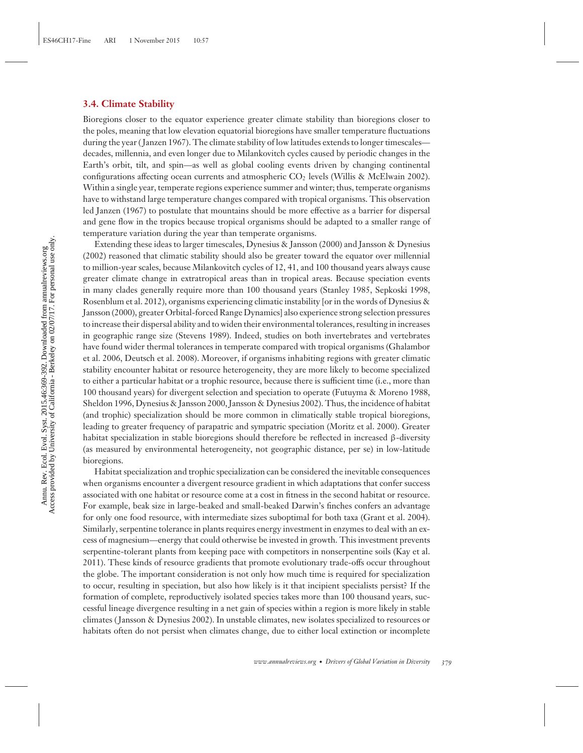#### **3.4. Climate Stability**

Bioregions closer to the equator experience greater climate stability than bioregions closer to the poles, meaning that low elevation equatorial bioregions have smaller temperature fluctuations during the year (Janzen 1967). The climate stability of low latitudes extends to longer timescales decades, millennia, and even longer due to Milankovitch cycles caused by periodic changes in the Earth's orbit, tilt, and spin—as well as global cooling events driven by changing continental configurations affecting ocean currents and atmospheric  $CO<sub>2</sub>$  levels (Willis & McElwain 2002). Within a single year, temperate regions experience summer and winter; thus, temperate organisms have to withstand large temperature changes compared with tropical organisms. This observation led Janzen (1967) to postulate that mountains should be more effective as a barrier for dispersal and gene flow in the tropics because tropical organisms should be adapted to a smaller range of temperature variation during the year than temperate organisms.

Extending these ideas to larger timescales, Dynesius & Jansson (2000) and Jansson & Dynesius (2002) reasoned that climatic stability should also be greater toward the equator over millennial to million-year scales, because Milankovitch cycles of 12, 41, and 100 thousand years always cause greater climate change in extratropical areas than in tropical areas. Because speciation events in many clades generally require more than 100 thousand years (Stanley 1985, Sepkoski 1998, Rosenblum et al. 2012), organisms experiencing climatic instability [or in the words of Dynesius & Jansson (2000), greater Orbital-forced Range Dynamics] also experience strong selection pressures to increase their dispersal ability and to widen their environmental tolerances, resulting in increases in geographic range size (Stevens 1989). Indeed, studies on both invertebrates and vertebrates have found wider thermal tolerances in temperate compared with tropical organisms (Ghalambor et al. 2006, Deutsch et al. 2008). Moreover, if organisms inhabiting regions with greater climatic stability encounter habitat or resource heterogeneity, they are more likely to become specialized to either a particular habitat or a trophic resource, because there is sufficient time (i.e., more than 100 thousand years) for divergent selection and speciation to operate (Futuyma & Moreno 1988, Sheldon 1996, Dynesius & Jansson 2000, Jansson & Dynesius 2002). Thus, the incidence of habitat (and trophic) specialization should be more common in climatically stable tropical bioregions, leading to greater frequency of parapatric and sympatric speciation (Moritz et al. 2000). Greater habitat specialization in stable bioregions should therefore be reflected in increased β-diversity (as measured by environmental heterogeneity, not geographic distance, per se) in low-latitude bioregions.

Habitat specialization and trophic specialization can be considered the inevitable consequences when organisms encounter a divergent resource gradient in which adaptations that confer success associated with one habitat or resource come at a cost in fitness in the second habitat or resource. For example, beak size in large-beaked and small-beaked Darwin's finches confers an advantage for only one food resource, with intermediate sizes suboptimal for both taxa (Grant et al. 2004). Similarly, serpentine tolerance in plants requires energy investment in enzymes to deal with an excess of magnesium—energy that could otherwise be invested in growth. This investment prevents serpentine-tolerant plants from keeping pace with competitors in nonserpentine soils (Kay et al. 2011). These kinds of resource gradients that promote evolutionary trade-offs occur throughout the globe. The important consideration is not only how much time is required for specialization to occur, resulting in speciation, but also how likely is it that incipient specialists persist? If the formation of complete, reproductively isolated species takes more than 100 thousand years, successful lineage divergence resulting in a net gain of species within a region is more likely in stable climates ( Jansson & Dynesius 2002). In unstable climates, new isolates specialized to resources or habitats often do not persist when climates change, due to either local extinction or incomplete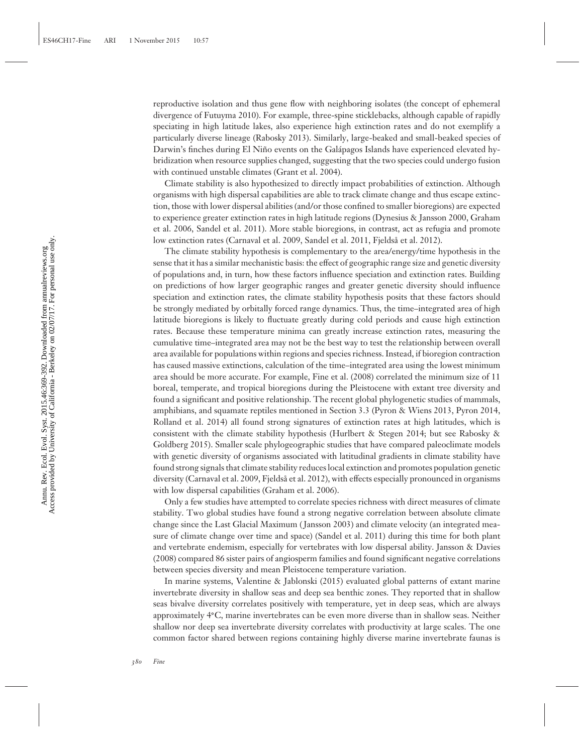reproductive isolation and thus gene flow with neighboring isolates (the concept of ephemeral divergence of Futuyma 2010). For example, three-spine sticklebacks, although capable of rapidly speciating in high latitude lakes, also experience high extinction rates and do not exemplify a particularly diverse lineage (Rabosky 2013). Similarly, large-beaked and small-beaked species of Darwin's finches during El Niño events on the Galápagos Islands have experienced elevated hybridization when resource supplies changed, suggesting that the two species could undergo fusion with continued unstable climates (Grant et al. 2004).

Climate stability is also hypothesized to directly impact probabilities of extinction. Although organisms with high dispersal capabilities are able to track climate change and thus escape extinction, those with lower dispersal abilities (and/or those confined to smaller bioregions) are expected to experience greater extinction rates in high latitude regions (Dynesius & Jansson 2000, Graham et al. 2006, Sandel et al. 2011). More stable bioregions, in contrast, act as refugia and promote low extinction rates (Carnaval et al. 2009, Sandel et al. 2011, Fjeldså et al. 2012).

The climate stability hypothesis is complementary to the area/energy/time hypothesis in the sense that it has a similar mechanistic basis: the effect of geographic range size and genetic diversity of populations and, in turn, how these factors influence speciation and extinction rates. Building on predictions of how larger geographic ranges and greater genetic diversity should influence speciation and extinction rates, the climate stability hypothesis posits that these factors should be strongly mediated by orbitally forced range dynamics. Thus, the time–integrated area of high latitude bioregions is likely to fluctuate greatly during cold periods and cause high extinction rates. Because these temperature minima can greatly increase extinction rates, measuring the cumulative time–integrated area may not be the best way to test the relationship between overall area available for populations within regions and species richness. Instead, if bioregion contraction has caused massive extinctions, calculation of the time–integrated area using the lowest minimum area should be more accurate. For example, Fine et al. (2008) correlated the minimum size of 11 boreal, temperate, and tropical bioregions during the Pleistocene with extant tree diversity and found a significant and positive relationship. The recent global phylogenetic studies of mammals, amphibians, and squamate reptiles mentioned in Section 3.3 (Pyron & Wiens 2013, Pyron 2014, Rolland et al. 2014) all found strong signatures of extinction rates at high latitudes, which is consistent with the climate stability hypothesis (Hurlbert & Stegen 2014; but see Rabosky & Goldberg 2015). Smaller scale phylogeographic studies that have compared paleoclimate models with genetic diversity of organisms associated with latitudinal gradients in climate stability have found strong signals that climate stability reduces local extinction and promotes population genetic diversity (Carnaval et al. 2009, Fjeldså et al. 2012), with effects especially pronounced in organisms with low dispersal capabilities (Graham et al. 2006).

Only a few studies have attempted to correlate species richness with direct measures of climate stability. Two global studies have found a strong negative correlation between absolute climate change since the Last Glacial Maximum ( Jansson 2003) and climate velocity (an integrated measure of climate change over time and space) (Sandel et al. 2011) during this time for both plant and vertebrate endemism, especially for vertebrates with low dispersal ability. Jansson & Davies (2008) compared 86 sister pairs of angiosperm families and found significant negative correlations between species diversity and mean Pleistocene temperature variation.

In marine systems, Valentine & Jablonski (2015) evaluated global patterns of extant marine invertebrate diversity in shallow seas and deep sea benthic zones. They reported that in shallow seas bivalve diversity correlates positively with temperature, yet in deep seas, which are always approximately 4**◦**C, marine invertebrates can be even more diverse than in shallow seas. Neither shallow nor deep sea invertebrate diversity correlates with productivity at large scales. The one common factor shared between regions containing highly diverse marine invertebrate faunas is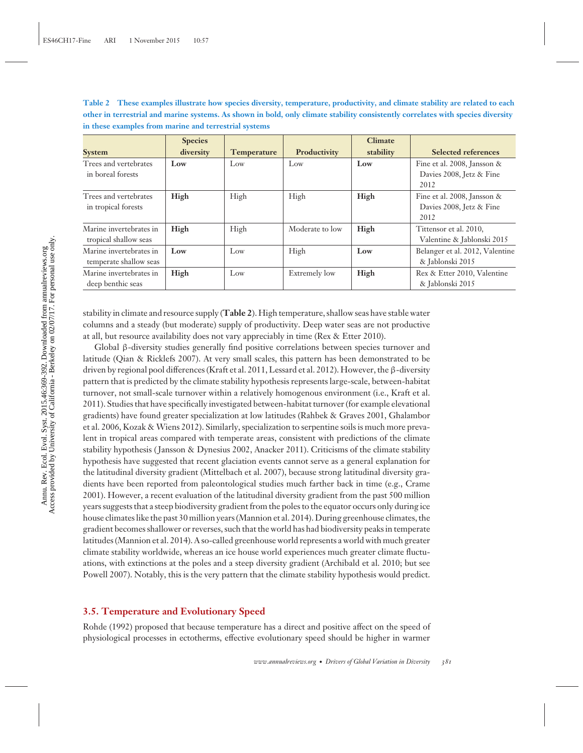**Table 2 These examples illustrate how species diversity, temperature, productivity, and climate stability are related to each other in terrestrial and marine systems. As shown in bold, only climate stability consistently correlates with species diversity in these examples from marine and terrestrial systems**

| <b>System</b>                                     | <b>Species</b><br>diversity | <b>Temperature</b> | Productivity    | <b>Climate</b><br>stability | <b>Selected references</b>                                         |
|---------------------------------------------------|-----------------------------|--------------------|-----------------|-----------------------------|--------------------------------------------------------------------|
| Trees and vertebrates<br>in boreal forests        | Low                         | Low                | Low             | Low                         | Fine et al. 2008, Jansson &<br>Davies 2008, Jetz & Fine<br>2012    |
| Trees and vertebrates<br>in tropical forests      | High                        | High               | High            | High                        | Fine et al. 2008, Jansson $\&$<br>Davies 2008, Jetz & Fine<br>2012 |
| Marine invertebrates in<br>tropical shallow seas  | High                        | High               | Moderate to low | High                        | Tittensor et al. 2010,<br>Valentine & Jablonski 2015               |
| Marine invertebrates in<br>temperate shallow seas | Low                         | Low                | High            | Low                         | Belanger et al. 2012, Valentine<br>& Jablonski 2015                |
| Marine invertebrates in<br>deep benthic seas      | High                        | Low                | Extremely low   | High                        | Rex & Etter 2010, Valentine<br>& Jablonski 2015                    |

stability in climate and resource supply (**Table 2**). High temperature, shallow seas have stable water columns and a steady (but moderate) supply of productivity. Deep water seas are not productive at all, but resource availability does not vary appreciably in time (Rex & Etter 2010).

Global β-diversity studies generally find positive correlations between species turnover and latitude (Qian & Ricklefs 2007). At very small scales, this pattern has been demonstrated to be driven by regional pool differences (Kraft et al. 2011, Lessard et al. 2012). However, the β-diversity pattern that is predicted by the climate stability hypothesis represents large-scale, between-habitat turnover, not small-scale turnover within a relatively homogenous environment (i.e., Kraft et al. 2011). Studies that have specifically investigated between-habitat turnover (for example elevational gradients) have found greater specialization at low latitudes (Rahbek & Graves 2001, Ghalambor et al. 2006, Kozak & Wiens 2012). Similarly, specialization to serpentine soils is much more prevalent in tropical areas compared with temperate areas, consistent with predictions of the climate stability hypothesis ( Jansson & Dynesius 2002, Anacker 2011). Criticisms of the climate stability hypothesis have suggested that recent glaciation events cannot serve as a general explanation for the latitudinal diversity gradient (Mittelbach et al. 2007), because strong latitudinal diversity gradients have been reported from paleontological studies much farther back in time (e.g., Crame 2001). However, a recent evaluation of the latitudinal diversity gradient from the past 500 million years suggests that a steep biodiversity gradient from the poles to the equator occurs only during ice house climates like the past 30 million years (Mannion et al. 2014). During greenhouse climates, the gradient becomes shallower or reverses, such that the world has had biodiversity peaks in temperate latitudes (Mannion et al. 2014). A so-called greenhouse world represents a world with much greater climate stability worldwide, whereas an ice house world experiences much greater climate fluctuations, with extinctions at the poles and a steep diversity gradient (Archibald et al. 2010; but see Powell 2007). Notably, this is the very pattern that the climate stability hypothesis would predict.

#### **3.5. Temperature and Evolutionary Speed**

Rohde (1992) proposed that because temperature has a direct and positive affect on the speed of physiological processes in ectotherms, effective evolutionary speed should be higher in warmer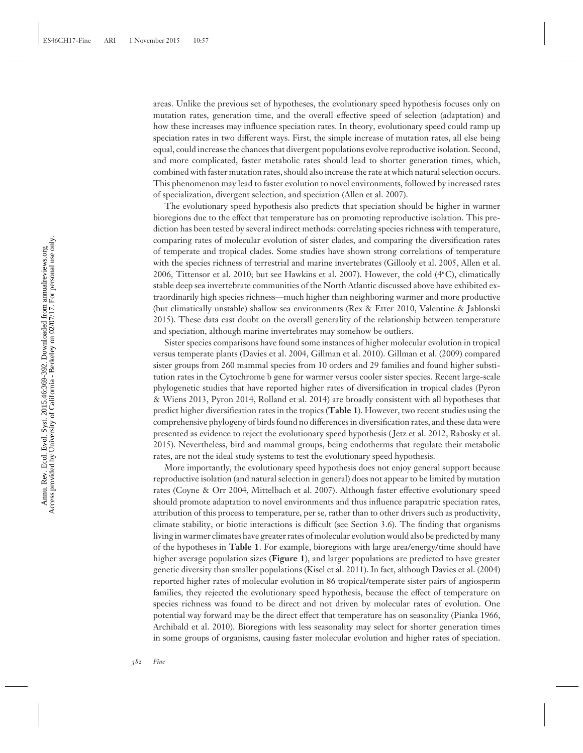areas. Unlike the previous set of hypotheses, the evolutionary speed hypothesis focuses only on mutation rates, generation time, and the overall effective speed of selection (adaptation) and how these increases may influence speciation rates. In theory, evolutionary speed could ramp up speciation rates in two different ways. First, the simple increase of mutation rates, all else being equal, could increase the chances that divergent populations evolve reproductive isolation. Second, and more complicated, faster metabolic rates should lead to shorter generation times, which, combined with faster mutation rates, should also increase the rate at which natural selection occurs. This phenomenon may lead to faster evolution to novel environments, followed by increased rates of specialization, divergent selection, and speciation (Allen et al. 2007).

The evolutionary speed hypothesis also predicts that speciation should be higher in warmer bioregions due to the effect that temperature has on promoting reproductive isolation. This prediction has been tested by several indirect methods: correlating species richness with temperature, comparing rates of molecular evolution of sister clades, and comparing the diversification rates of temperate and tropical clades. Some studies have shown strong correlations of temperature with the species richness of terrestrial and marine invertebrates (Gillooly et al. 2005, Allen et al. 2006, Tittensor et al. 2010; but see Hawkins et al. 2007). However, the cold (4**◦**C), climatically stable deep sea invertebrate communities of the North Atlantic discussed above have exhibited extraordinarily high species richness—much higher than neighboring warmer and more productive (but climatically unstable) shallow sea environments (Rex & Etter 2010, Valentine & Jablonski 2015). These data cast doubt on the overall generality of the relationship between temperature and speciation, although marine invertebrates may somehow be outliers.

Sister species comparisons have found some instances of higher molecular evolution in tropical versus temperate plants (Davies et al. 2004, Gillman et al. 2010). Gillman et al. (2009) compared sister groups from 260 mammal species from 10 orders and 29 families and found higher substitution rates in the Cytochrome b gene for warmer versus cooler sister species. Recent large-scale phylogenetic studies that have reported higher rates of diversification in tropical clades (Pyron & Wiens 2013, Pyron 2014, Rolland et al. 2014) are broadly consistent with all hypotheses that predict higher diversification rates in the tropics (**Table 1**). However, two recent studies using the comprehensive phylogeny of birds found no differences in diversification rates, and these data were presented as evidence to reject the evolutionary speed hypothesis ( Jetz et al. 2012, Rabosky et al. 2015). Nevertheless, bird and mammal groups, being endotherms that regulate their metabolic rates, are not the ideal study systems to test the evolutionary speed hypothesis.

More importantly, the evolutionary speed hypothesis does not enjoy general support because reproductive isolation (and natural selection in general) does not appear to be limited by mutation rates (Coyne & Orr 2004, Mittelbach et al. 2007). Although faster effective evolutionary speed should promote adaptation to novel environments and thus influence parapatric speciation rates, attribution of this process to temperature, per se, rather than to other drivers such as productivity, climate stability, or biotic interactions is difficult (see Section 3.6). The finding that organisms living in warmer climates have greater rates of molecular evolution would also be predicted by many of the hypotheses in **Table 1**. For example, bioregions with large area/energy/time should have higher average population sizes (**Figure 1**), and larger populations are predicted to have greater genetic diversity than smaller populations (Kisel et al. 2011). In fact, although Davies et al. (2004) reported higher rates of molecular evolution in 86 tropical/temperate sister pairs of angiosperm families, they rejected the evolutionary speed hypothesis, because the effect of temperature on species richness was found to be direct and not driven by molecular rates of evolution. One potential way forward may be the direct effect that temperature has on seasonality (Pianka 1966, Archibald et al. 2010). Bioregions with less seasonality may select for shorter generation times in some groups of organisms, causing faster molecular evolution and higher rates of speciation.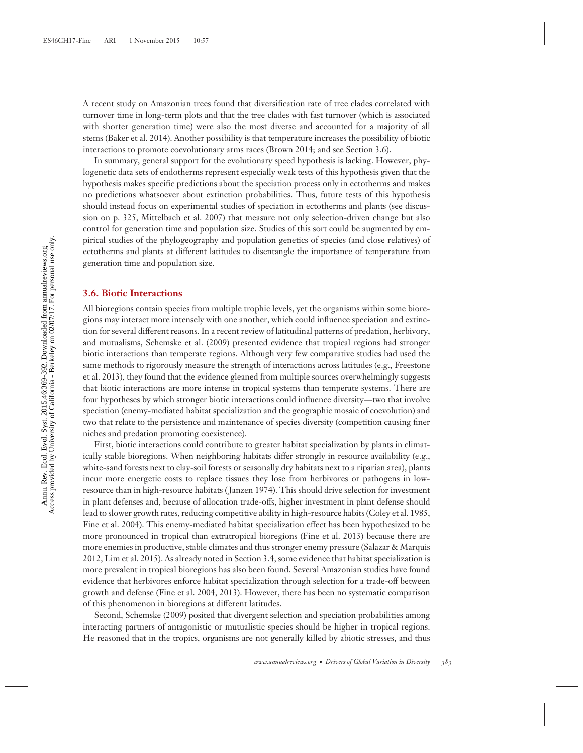A recent study on Amazonian trees found that diversification rate of tree clades correlated with turnover time in long-term plots and that the tree clades with fast turnover (which is associated with shorter generation time) were also the most diverse and accounted for a majority of all stems (Baker et al. 2014). Another possibility is that temperature increases the possibility of biotic interactions to promote coevolutionary arms races (Brown 2014; and see Section 3.6).

In summary, general support for the evolutionary speed hypothesis is lacking. However, phylogenetic data sets of endotherms represent especially weak tests of this hypothesis given that the hypothesis makes specific predictions about the speciation process only in ectotherms and makes no predictions whatsoever about extinction probabilities. Thus, future tests of this hypothesis should instead focus on experimental studies of speciation in ectotherms and plants (see discussion on p. 325, Mittelbach et al. 2007) that measure not only selection-driven change but also control for generation time and population size. Studies of this sort could be augmented by empirical studies of the phylogeography and population genetics of species (and close relatives) of ectotherms and plants at different latitudes to disentangle the importance of temperature from generation time and population size.

#### **3.6. Biotic Interactions**

All bioregions contain species from multiple trophic levels, yet the organisms within some bioregions may interact more intensely with one another, which could influence speciation and extinction for several different reasons. In a recent review of latitudinal patterns of predation, herbivory, and mutualisms, Schemske et al. (2009) presented evidence that tropical regions had stronger biotic interactions than temperate regions. Although very few comparative studies had used the same methods to rigorously measure the strength of interactions across latitudes (e.g., Freestone et al. 2013), they found that the evidence gleaned from multiple sources overwhelmingly suggests that biotic interactions are more intense in tropical systems than temperate systems. There are four hypotheses by which stronger biotic interactions could influence diversity—two that involve speciation (enemy-mediated habitat specialization and the geographic mosaic of coevolution) and two that relate to the persistence and maintenance of species diversity (competition causing finer niches and predation promoting coexistence).

First, biotic interactions could contribute to greater habitat specialization by plants in climatically stable bioregions. When neighboring habitats differ strongly in resource availability (e.g., white-sand forests next to clay-soil forests or seasonally dry habitats next to a riparian area), plants incur more energetic costs to replace tissues they lose from herbivores or pathogens in lowresource than in high-resource habitats ( Janzen 1974). This should drive selection for investment in plant defenses and, because of allocation trade-offs, higher investment in plant defense should lead to slower growth rates, reducing competitive ability in high-resource habits (Coley et al. 1985, Fine et al. 2004). This enemy-mediated habitat specialization effect has been hypothesized to be more pronounced in tropical than extratropical bioregions (Fine et al. 2013) because there are more enemies in productive, stable climates and thus stronger enemy pressure (Salazar & Marquis 2012, Lim et al. 2015). As already noted in Section 3.4, some evidence that habitat specialization is more prevalent in tropical bioregions has also been found. Several Amazonian studies have found evidence that herbivores enforce habitat specialization through selection for a trade-off between growth and defense (Fine et al. 2004, 2013). However, there has been no systematic comparison of this phenomenon in bioregions at different latitudes.

Second, Schemske (2009) posited that divergent selection and speciation probabilities among interacting partners of antagonistic or mutualistic species should be higher in tropical regions. He reasoned that in the tropics, organisms are not generally killed by abiotic stresses, and thus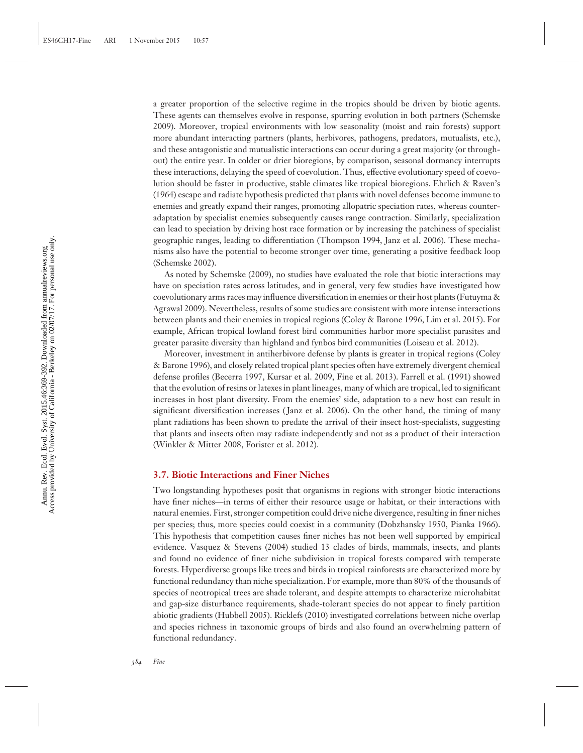a greater proportion of the selective regime in the tropics should be driven by biotic agents. These agents can themselves evolve in response, spurring evolution in both partners (Schemske 2009). Moreover, tropical environments with low seasonality (moist and rain forests) support more abundant interacting partners (plants, herbivores, pathogens, predators, mutualists, etc.), and these antagonistic and mutualistic interactions can occur during a great majority (or throughout) the entire year. In colder or drier bioregions, by comparison, seasonal dormancy interrupts these interactions, delaying the speed of coevolution. Thus, effective evolutionary speed of coevolution should be faster in productive, stable climates like tropical bioregions. Ehrlich & Raven's (1964) escape and radiate hypothesis predicted that plants with novel defenses become immune to enemies and greatly expand their ranges, promoting allopatric speciation rates, whereas counteradaptation by specialist enemies subsequently causes range contraction. Similarly, specialization can lead to speciation by driving host race formation or by increasing the patchiness of specialist geographic ranges, leading to differentiation (Thompson 1994, Janz et al. 2006). These mechanisms also have the potential to become stronger over time, generating a positive feedback loop (Schemske 2002).

As noted by Schemske (2009), no studies have evaluated the role that biotic interactions may have on speciation rates across latitudes, and in general, very few studies have investigated how coevolutionary arms races may influence diversification in enemies or their host plants (Futuyma & Agrawal 2009). Nevertheless, results of some studies are consistent with more intense interactions between plants and their enemies in tropical regions (Coley & Barone 1996, Lim et al. 2015). For example, African tropical lowland forest bird communities harbor more specialist parasites and greater parasite diversity than highland and fynbos bird communities (Loiseau et al. 2012).

Moreover, investment in antiherbivore defense by plants is greater in tropical regions (Coley & Barone 1996), and closely related tropical plant species often have extremely divergent chemical defense profiles (Becerra 1997, Kursar et al. 2009, Fine et al. 2013). Farrell et al. (1991) showed that the evolution of resins or latexes in plant lineages, many of which are tropical, led to significant increases in host plant diversity. From the enemies' side, adaptation to a new host can result in significant diversification increases (Janz et al. 2006). On the other hand, the timing of many plant radiations has been shown to predate the arrival of their insect host-specialists, suggesting that plants and insects often may radiate independently and not as a product of their interaction (Winkler & Mitter 2008, Forister et al. 2012).

#### **3.7. Biotic Interactions and Finer Niches**

Two longstanding hypotheses posit that organisms in regions with stronger biotic interactions have finer niches—in terms of either their resource usage or habitat, or their interactions with natural enemies. First, stronger competition could drive niche divergence, resulting in finer niches per species; thus, more species could coexist in a community (Dobzhansky 1950, Pianka 1966). This hypothesis that competition causes finer niches has not been well supported by empirical evidence. Vasquez & Stevens (2004) studied 13 clades of birds, mammals, insects, and plants and found no evidence of finer niche subdivision in tropical forests compared with temperate forests. Hyperdiverse groups like trees and birds in tropical rainforests are characterized more by functional redundancy than niche specialization. For example, more than 80% of the thousands of species of neotropical trees are shade tolerant, and despite attempts to characterize microhabitat and gap-size disturbance requirements, shade-tolerant species do not appear to finely partition abiotic gradients (Hubbell 2005). Ricklefs (2010) investigated correlations between niche overlap and species richness in taxonomic groups of birds and also found an overwhelming pattern of functional redundancy.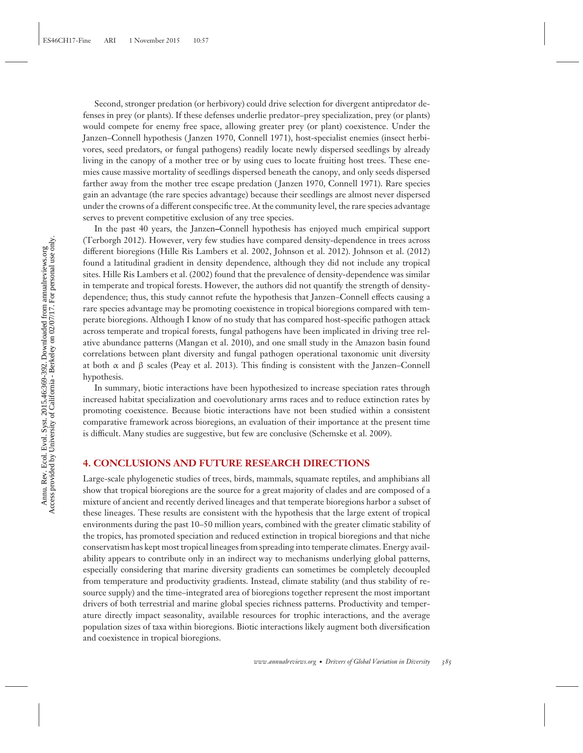Second, stronger predation (or herbivory) could drive selection for divergent antipredator defenses in prey (or plants). If these defenses underlie predator–prey specialization, prey (or plants) would compete for enemy free space, allowing greater prey (or plant) coexistence. Under the Janzen–Connell hypothesis ( Janzen 1970, Connell 1971), host-specialist enemies (insect herbivores, seed predators, or fungal pathogens) readily locate newly dispersed seedlings by already living in the canopy of a mother tree or by using cues to locate fruiting host trees. These enemies cause massive mortality of seedlings dispersed beneath the canopy, and only seeds dispersed farther away from the mother tree escape predation ( Janzen 1970, Connell 1971). Rare species gain an advantage (the rare species advantage) because their seedlings are almost never dispersed under the crowns of a different conspecific tree. At the community level, the rare species advantage serves to prevent competitive exclusion of any tree species.

In the past 40 years, the Janzen**–**Connell hypothesis has enjoyed much empirical support (Terborgh 2012). However, very few studies have compared density-dependence in trees across different bioregions (Hille Ris Lambers et al. 2002, Johnson et al. 2012). Johnson et al. (2012) found a latitudinal gradient in density dependence, although they did not include any tropical sites. Hille Ris Lambers et al. (2002) found that the prevalence of density-dependence was similar in temperate and tropical forests. However, the authors did not quantify the strength of densitydependence; thus, this study cannot refute the hypothesis that Janzen–Connell effects causing a rare species advantage may be promoting coexistence in tropical bioregions compared with temperate bioregions. Although I know of no study that has compared host-specific pathogen attack across temperate and tropical forests, fungal pathogens have been implicated in driving tree relative abundance patterns (Mangan et al. 2010), and one small study in the Amazon basin found correlations between plant diversity and fungal pathogen operational taxonomic unit diversity at both  $\alpha$  and  $\beta$  scales (Peay et al. 2013). This finding is consistent with the Janzen–Connell hypothesis.

In summary, biotic interactions have been hypothesized to increase speciation rates through increased habitat specialization and coevolutionary arms races and to reduce extinction rates by promoting coexistence. Because biotic interactions have not been studied within a consistent comparative framework across bioregions, an evaluation of their importance at the present time is difficult. Many studies are suggestive, but few are conclusive (Schemske et al. 2009).

#### **4. CONCLUSIONS AND FUTURE RESEARCH DIRECTIONS**

Large-scale phylogenetic studies of trees, birds, mammals, squamate reptiles, and amphibians all show that tropical bioregions are the source for a great majority of clades and are composed of a mixture of ancient and recently derived lineages and that temperate bioregions harbor a subset of these lineages. These results are consistent with the hypothesis that the large extent of tropical environments during the past 10–50 million years, combined with the greater climatic stability of the tropics, has promoted speciation and reduced extinction in tropical bioregions and that niche conservatism has kept most tropical lineages from spreading into temperate climates. Energy availability appears to contribute only in an indirect way to mechanisms underlying global patterns, especially considering that marine diversity gradients can sometimes be completely decoupled from temperature and productivity gradients. Instead, climate stability (and thus stability of resource supply) and the time–integrated area of bioregions together represent the most important drivers of both terrestrial and marine global species richness patterns. Productivity and temperature directly impact seasonality, available resources for trophic interactions, and the average population sizes of taxa within bioregions. Biotic interactions likely augment both diversification and coexistence in tropical bioregions.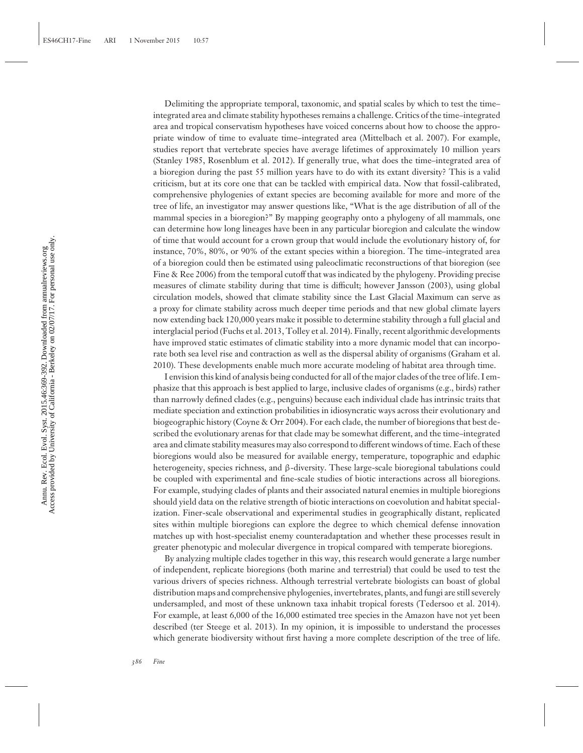Delimiting the appropriate temporal, taxonomic, and spatial scales by which to test the time– integrated area and climate stability hypotheses remains a challenge. Critics of the time–integrated area and tropical conservatism hypotheses have voiced concerns about how to choose the appropriate window of time to evaluate time–integrated area (Mittelbach et al. 2007). For example, studies report that vertebrate species have average lifetimes of approximately 10 million years (Stanley 1985, Rosenblum et al. 2012). If generally true, what does the time–integrated area of a bioregion during the past 55 million years have to do with its extant diversity? This is a valid criticism, but at its core one that can be tackled with empirical data. Now that fossil-calibrated, comprehensive phylogenies of extant species are becoming available for more and more of the tree of life, an investigator may answer questions like, "What is the age distribution of all of the mammal species in a bioregion?" By mapping geography onto a phylogeny of all mammals, one can determine how long lineages have been in any particular bioregion and calculate the window of time that would account for a crown group that would include the evolutionary history of, for instance, 70%, 80%, or 90% of the extant species within a bioregion. The time–integrated area of a bioregion could then be estimated using paleoclimatic reconstructions of that bioregion (see Fine & Ree 2006) from the temporal cutoff that was indicated by the phylogeny. Providing precise measures of climate stability during that time is difficult; however Jansson (2003), using global circulation models, showed that climate stability since the Last Glacial Maximum can serve as a proxy for climate stability across much deeper time periods and that new global climate layers now extending back 120,000 years make it possible to determine stability through a full glacial and interglacial period (Fuchs et al. 2013, Tolley et al. 2014). Finally, recent algorithmic developments have improved static estimates of climatic stability into a more dynamic model that can incorporate both sea level rise and contraction as well as the dispersal ability of organisms (Graham et al. 2010). These developments enable much more accurate modeling of habitat area through time.

I envision this kind of analysis being conducted for all of the major clades of the tree of life. I emphasize that this approach is best applied to large, inclusive clades of organisms (e.g., birds) rather than narrowly defined clades (e.g., penguins) because each individual clade has intrinsic traits that mediate speciation and extinction probabilities in idiosyncratic ways across their evolutionary and biogeographic history (Coyne & Orr 2004). For each clade, the number of bioregions that best described the evolutionary arenas for that clade may be somewhat different, and the time–integrated area and climate stability measures may also correspond to different windows of time. Each of these bioregions would also be measured for available energy, temperature, topographic and edaphic heterogeneity, species richness, and β-diversity. These large-scale bioregional tabulations could be coupled with experimental and fine-scale studies of biotic interactions across all bioregions. For example, studying clades of plants and their associated natural enemies in multiple bioregions should yield data on the relative strength of biotic interactions on coevolution and habitat specialization. Finer-scale observational and experimental studies in geographically distant, replicated sites within multiple bioregions can explore the degree to which chemical defense innovation matches up with host-specialist enemy counteradaptation and whether these processes result in greater phenotypic and molecular divergence in tropical compared with temperate bioregions.

By analyzing multiple clades together in this way, this research would generate a large number of independent, replicate bioregions (both marine and terrestrial) that could be used to test the various drivers of species richness. Although terrestrial vertebrate biologists can boast of global distribution maps and comprehensive phylogenies, invertebrates, plants, and fungi are still severely undersampled, and most of these unknown taxa inhabit tropical forests (Tedersoo et al. 2014). For example, at least 6,000 of the 16,000 estimated tree species in the Amazon have not yet been described (ter Steege et al. 2013). In my opinion, it is impossible to understand the processes which generate biodiversity without first having a more complete description of the tree of life.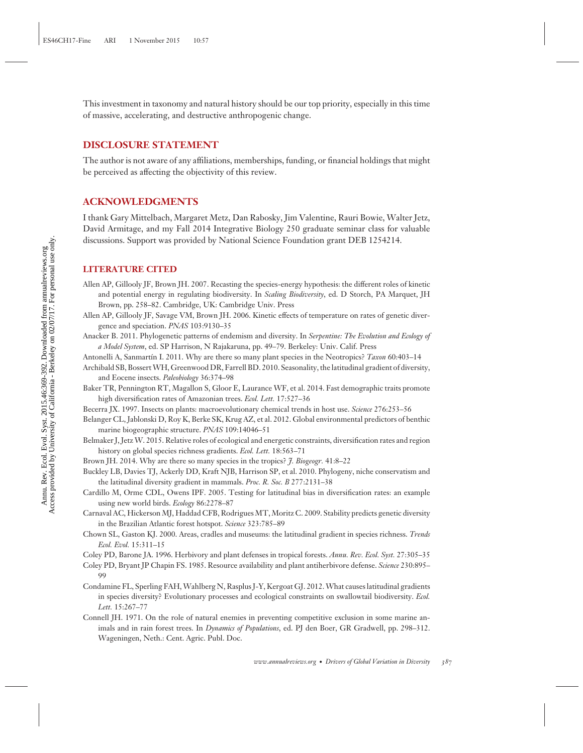This investment in taxonomy and natural history should be our top priority, especially in this time of massive, accelerating, and destructive anthropogenic change.

#### **DISCLOSURE STATEMENT**

The author is not aware of any affiliations, memberships, funding, or financial holdings that might be perceived as affecting the objectivity of this review.

#### **ACKNOWLEDGMENTS**

I thank Gary Mittelbach, Margaret Metz, Dan Rabosky, Jim Valentine, Rauri Bowie, Walter Jetz, David Armitage, and my Fall 2014 Integrative Biology 250 graduate seminar class for valuable discussions. Support was provided by National Science Foundation grant DEB 1254214.

#### **LITERATURE CITED**

- Allen AP, Gillooly JF, Brown JH. 2007. Recasting the species-energy hypothesis: the different roles of kinetic and potential energy in regulating biodiversity. In *Scaling Biodiversity*, ed. D Storch, PA Marquet, JH Brown, pp. 258–82. Cambridge, UK: Cambridge Univ. Press
- Allen AP, Gillooly JF, Savage VM, Brown JH. 2006. Kinetic effects of temperature on rates of genetic divergence and speciation. *PNAS* 103:9130–35
- Anacker B. 2011. Phylogenetic patterns of endemism and diversity. In *Serpentine: The Evolution and Ecology of a Model System*, ed. SP Harrison, N Rajakaruna, pp. 49–79. Berkeley: Univ. Calif. Press
- Antonelli A, Sanmartín I. 2011. Why are there so many plant species in the Neotropics? *Taxon* 60:403–14
- Archibald SB, BossertWH, Greenwood DR, Farrell BD. 2010. Seasonality, the latitudinal gradient of diversity, and Eocene insects. *Paleobiology* 36:374–98
- Baker TR, Pennington RT, Magallon S, Gloor E, Laurance WF, et al. 2014. Fast demographic traits promote high diversification rates of Amazonian trees. *Ecol. Lett.* 17:527–36
- Becerra JX. 1997. Insects on plants: macroevolutionary chemical trends in host use. *Science* 276:253–56
- Belanger CL, Jablonski D, Roy K, Berke SK, Krug AZ, et al. 2012. Global environmental predictors of benthic marine biogeographic structure. *PNAS* 109:14046–51
- Belmaker J, JetzW. 2015. Relative roles of ecological and energetic constraints, diversification rates and region history on global species richness gradients. *Ecol. Lett.* 18:563–71
- Brown JH. 2014. Why are there so many species in the tropics? *J. Biogeogr.* 41:8–22
- Buckley LB, Davies TJ, Ackerly DD, Kraft NJB, Harrison SP, et al. 2010. Phylogeny, niche conservatism and the latitudinal diversity gradient in mammals. *Proc. R. Soc. B* 277:2131–38
- Cardillo M, Orme CDL, Owens IPF. 2005. Testing for latitudinal bias in diversification rates: an example using new world birds. *Ecology* 86:2278–87
- Carnaval AC, Hickerson MJ, Haddad CFB, Rodrigues MT, Moritz C. 2009. Stability predicts genetic diversity in the Brazilian Atlantic forest hotspot. *Science* 323:785–89
- Chown SL, Gaston KJ. 2000. Areas, cradles and museums: the latitudinal gradient in species richness. *Trends Ecol. Evol.* 15:311–15
- Coley PD, Barone JA. 1996. Herbivory and plant defenses in tropical forests. *Annu. Rev. Ecol. Syst.* 27:305–35
- Coley PD, Bryant JP Chapin FS. 1985. Resource availability and plant antiherbivore defense. *Science* 230:895– 99
- Condamine FL, Sperling FAH,Wahlberg N, Rasplus J-Y, Kergoat GJ. 2012.What causes latitudinal gradients in species diversity? Evolutionary processes and ecological constraints on swallowtail biodiversity. *Ecol. Lett.* 15:267–77
- Connell JH. 1971. On the role of natural enemies in preventing competitive exclusion in some marine animals and in rain forest trees. In *Dynamics of Populations*, ed. PJ den Boer, GR Gradwell, pp. 298–312. Wageningen, Neth.: Cent. Agric. Publ. Doc.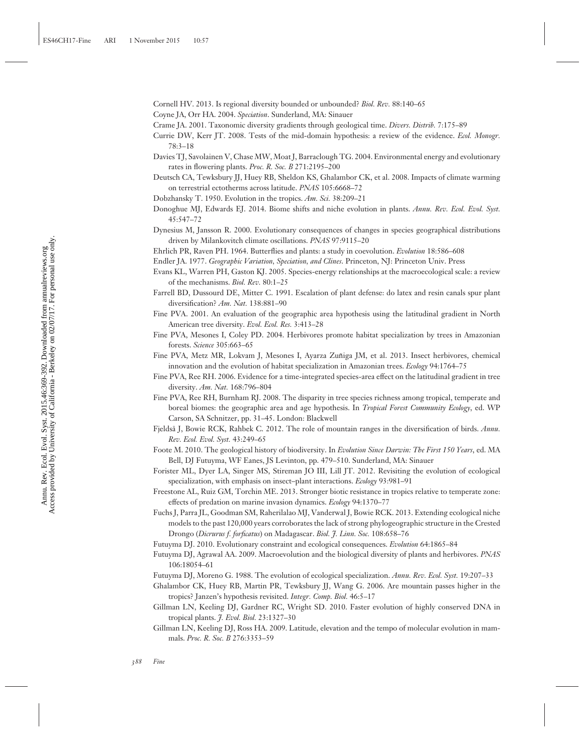Cornell HV. 2013. Is regional diversity bounded or unbounded? *Biol. Rev.* 88:140–65

Coyne JA, Orr HA. 2004. *Speciation*. Sunderland, MA: Sinauer

- Crame JA. 2001. Taxonomic diversity gradients through geological time. *Divers. Distrib.* 7:175–89
- Currie DW, Kerr JT. 2008. Tests of the mid-domain hypothesis: a review of the evidence. *Ecol. Monogr.* 78:3–18
- Davies TJ, Savolainen V, Chase MW, Moat J, Barraclough TG. 2004. Environmental energy and evolutionary rates in flowering plants. *Proc. R. Soc. B* 271:2195–200
- Deutsch CA, Tewksbury JJ, Huey RB, Sheldon KS, Ghalambor CK, et al. 2008. Impacts of climate warming on terrestrial ectotherms across latitude. *PNAS* 105:6668–72
- Dobzhansky T. 1950. Evolution in the tropics. *Am. Sci.* 38:209–21
- Donoghue MJ, Edwards EJ. 2014. Biome shifts and niche evolution in plants. *Annu. Rev. Ecol. Evol. Syst.* 45:547–72
- Dynesius M, Jansson R. 2000. Evolutionary consequences of changes in species geographical distributions driven by Milankovitch climate oscillations. *PNAS* 97:9115–20

Ehrlich PR, Raven PH. 1964. Butterflies and plants: a study in coevolution. *Evolution* 18:586–608

- Endler JA. 1977. *Geographic Variation, Speciation, and Clines*. Princeton, NJ: Princeton Univ. Press
- Evans KL, Warren PH, Gaston KJ. 2005. Species-energy relationships at the macroecological scale: a review of the mechanisms. *Biol. Rev.* 80:1–25
- Farrell BD, Dussourd DE, Mitter C. 1991. Escalation of plant defense: do latex and resin canals spur plant diversification? *Am. Nat.* 138:881–90
- Fine PVA. 2001. An evaluation of the geographic area hypothesis using the latitudinal gradient in North American tree diversity. *Evol. Ecol. Res.* 3:413–28
- Fine PVA, Mesones I, Coley PD. 2004. Herbivores promote habitat specialization by trees in Amazonian forests. *Science* 305:663–65
- Fine PVA, Metz MR, Lokvam J, Mesones I, Ayarza Zuñiga JM, et al. 2013. Insect herbivores, chemical innovation and the evolution of habitat specialization in Amazonian trees. *Ecology* 94:1764–75
- Fine PVA, Ree RH. 2006. Evidence for a time-integrated species-area effect on the latitudinal gradient in tree diversity. *Am. Nat.* 168:796–804
- Fine PVA, Ree RH, Burnham RJ. 2008. The disparity in tree species richness among tropical, temperate and boreal biomes: the geographic area and age hypothesis. In *Tropical Forest Community Ecology*, ed. WP Carson, SA Schnitzer, pp. 31–45. London: Blackwell
- Fjeldsa˚ J, Bowie RCK, Rahbek C. 2012. The role of mountain ranges in the diversification of birds. *Annu. Rev. Ecol. Evol. Syst.* 43:249–65
- Foote M. 2010. The geological history of biodiversity. In *Evolution Since Darwin: The First 150 Years*, ed. MA Bell, DJ Futuyma, WF Eanes, JS Levinton, pp. 479–510. Sunderland, MA: Sinauer
- Forister ML, Dyer LA, Singer MS, Stireman JO III, Lill JT. 2012. Revisiting the evolution of ecological specialization, with emphasis on insect–plant interactions. *Ecology* 93:981–91
- Freestone AL, Ruiz GM, Torchin ME. 2013. Stronger biotic resistance in tropics relative to temperate zone: effects of predation on marine invasion dynamics. *Ecology* 94:1370–77
- Fuchs J, Parra JL, Goodman SM, Raherilalao MJ, Vanderwal J, Bowie RCK. 2013. Extending ecological niche models to the past 120,000 years corroborates the lack of strong phylogeographic structure in the Crested Drongo (*Dicrurus f. forficatus*) on Madagascar. *Biol. J. Linn. Soc.* 108:658–76
- Futuyma DJ. 2010. Evolutionary constraint and ecological consequences. *Evolution* 64:1865–84
- Futuyma DJ, Agrawal AA. 2009. Macroevolution and the biological diversity of plants and herbivores. *PNAS* 106:18054–61
- Futuyma DJ, Moreno G. 1988. The evolution of ecological specialization. *Annu. Rev. Ecol. Syst.* 19:207–33
- Ghalambor CK, Huey RB, Martin PR, Tewksbury JJ, Wang G. 2006. Are mountain passes higher in the tropics? Janzen's hypothesis revisited. *Integr. Comp. Biol.* 46:5–17
- Gillman LN, Keeling DJ, Gardner RC, Wright SD. 2010. Faster evolution of highly conserved DNA in tropical plants. *J. Evol. Biol.* 23:1327–30
- Gillman LN, Keeling DJ, Ross HA. 2009. Latitude, elevation and the tempo of molecular evolution in mammals. *Proc. R. Soc. B* 276:3353–59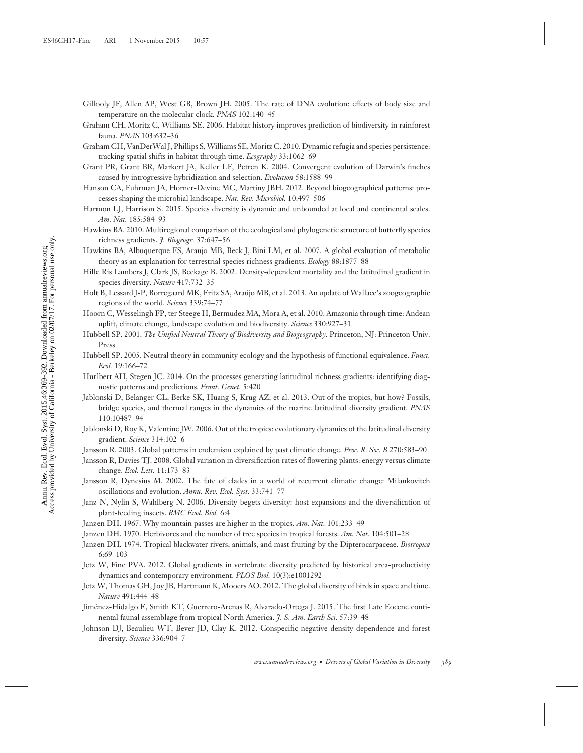- Gillooly JF, Allen AP, West GB, Brown JH. 2005. The rate of DNA evolution: effects of body size and temperature on the molecular clock. *PNAS* 102:140–45
- Graham CH, Moritz C, Williams SE. 2006. Habitat history improves prediction of biodiversity in rainforest fauna. *PNAS* 103:632–36
- Graham CH, VanDerWal J, Phillips S,Williams SE, Moritz C. 2010. Dynamic refugia and species persistence: tracking spatial shifts in habitat through time. *Ecography* 33:1062–69
- Grant PR, Grant BR, Markert JA, Keller LF, Petren K. 2004. Convergent evolution of Darwin's finches caused by introgressive hybridization and selection. *Evolution* 58:1588–99
- Hanson CA, Fuhrman JA, Horner-Devine MC, Martiny JBH. 2012. Beyond biogeographical patterns: processes shaping the microbial landscape. *Nat. Rev. Microbiol.* 10:497–506
- Harmon LJ, Harrison S. 2015. Species diversity is dynamic and unbounded at local and continental scales. *Am. Nat.* 185:584–93
- Hawkins BA. 2010. Multiregional comparison of the ecological and phylogenetic structure of butterfly species richness gradients. *J. Biogeogr.* 37:647–56
- Hawkins BA, Albuquerque FS, Araujo MB, Beck J, Bini LM, et al. 2007. A global evaluation of metabolic theory as an explanation for terrestrial species richness gradients. *Ecology* 88:1877–88
- Hille Ris Lambers J, Clark JS, Beckage B. 2002. Density-dependent mortality and the latitudinal gradient in species diversity. *Nature* 417:732–35
- Holt B, Lessard J-P, Borregaard MK, Fritz SA, Araujo MB, et al. 2013. An update of Wallace's zoogeographic ´ regions of the world. *Science* 339:74–77
- Hoorn C, Wesselingh FP, ter Steege H, Bermudez MA, Mora A, et al. 2010. Amazonia through time: Andean uplift, climate change, landscape evolution and biodiversity. *Science* 330:927–31
- Hubbell SP. 2001. *The Unified Neutral Theory of Biodiversity and Biogeography*. Princeton, NJ: Princeton Univ. Press
- Hubbell SP. 2005. Neutral theory in community ecology and the hypothesis of functional equivalence. *Funct. Ecol.* 19:166–72
- Hurlbert AH, Stegen JC. 2014. On the processes generating latitudinal richness gradients: identifying diagnostic patterns and predictions. *Front. Genet.* 5:420
- Jablonski D, Belanger CL, Berke SK, Huang S, Krug AZ, et al. 2013. Out of the tropics, but how? Fossils, bridge species, and thermal ranges in the dynamics of the marine latitudinal diversity gradient. *PNAS* 110:10487–94
- Jablonski D, Roy K, Valentine JW. 2006. Out of the tropics: evolutionary dynamics of the latitudinal diversity gradient. *Science* 314:102–6
- Jansson R. 2003. Global patterns in endemism explained by past climatic change. *Proc. R. Soc. B* 270:583–90
- Jansson R, Davies TJ. 2008. Global variation in diversification rates of flowering plants: energy versus climate change. *Ecol. Lett.* 11:173–83
- Jansson R, Dynesius M. 2002. The fate of clades in a world of recurrent climatic change: Milankovitch oscillations and evolution. *Annu. Rev. Ecol. Syst.* 33:741–77
- Janz N, Nylin S, Wahlberg N. 2006. Diversity begets diversity: host expansions and the diversification of plant-feeding insects. *BMC Evol. Biol.* 6:4
- Janzen DH. 1967. Why mountain passes are higher in the tropics. *Am. Nat.* 101:233–49
- Janzen DH. 1970. Herbivores and the number of tree species in tropical forests. *Am. Nat.* 104:501–28
- Janzen DH. 1974. Tropical blackwater rivers, animals, and mast fruiting by the Dipterocarpaceae. *Biotropica* 6:69–103
- Jetz W, Fine PVA. 2012. Global gradients in vertebrate diversity predicted by historical area-productivity dynamics and contemporary environment. *PLOS Biol.* 10(3):e1001292
- Jetz W, Thomas GH, Joy JB, Hartmann K, Mooers AO. 2012. The global diversity of birds in space and time. *Nature* 491:444–48
- Jimenez-Hidalgo E, Smith KT, Guerrero-Arenas R, Alvarado-Ortega J. 2015. The first Late Eocene conti- ´ nental faunal assemblage from tropical North America. *J. S. Am. Earth Sci.* 57:39–48
- Johnson DJ, Beaulieu WT, Bever JD, Clay K. 2012. Conspecific negative density dependence and forest diversity. *Science* 336:904–7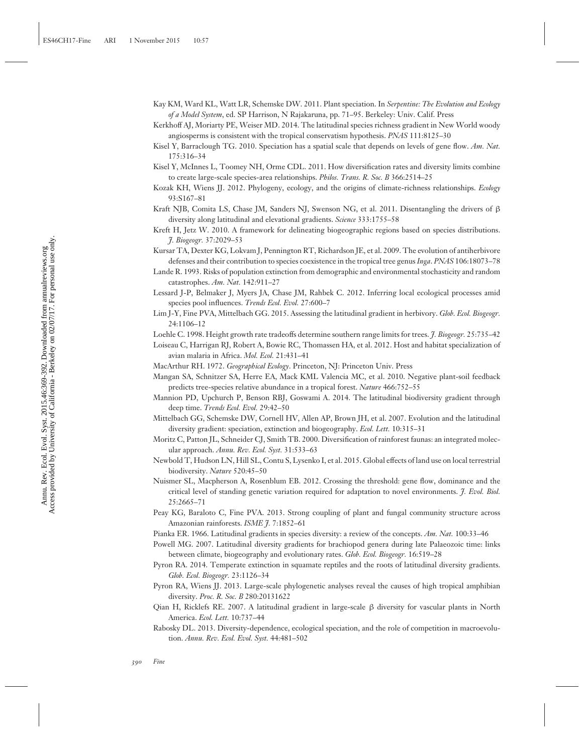- Kay KM, Ward KL, Watt LR, Schemske DW. 2011. Plant speciation. In *Serpentine: The Evolution and Ecology of a Model System*, ed. SP Harrison, N Rajakaruna, pp. 71–95. Berkeley: Univ. Calif. Press
- Kerkhoff AJ, Moriarty PE, Weiser MD. 2014. The latitudinal species richness gradient in New World woody angiosperms is consistent with the tropical conservatism hypothesis. *PNAS* 111:8125–30
- Kisel Y, Barraclough TG. 2010. Speciation has a spatial scale that depends on levels of gene flow. *Am. Nat.* 175:316–34
- Kisel Y, McInnes L, Toomey NH, Orme CDL. 2011. How diversification rates and diversity limits combine to create large-scale species-area relationships. *Philos. Trans. R. Soc. B* 366:2514–25
- Kozak KH, Wiens JJ. 2012. Phylogeny, ecology, and the origins of climate-richness relationships. *Ecology* 93:S167–81
- Kraft NJB, Comita LS, Chase JM, Sanders NJ, Swenson NG, et al. 2011. Disentangling the drivers of  $\beta$ diversity along latitudinal and elevational gradients. *Science* 333:1755–58
- Kreft H, Jetz W. 2010. A framework for delineating biogeographic regions based on species distributions. *J. Biogeogr.* 37:2029–53
- Kursar TA, Dexter KG, Lokvam J, Pennington RT, Richardson JE, et al. 2009. The evolution of antiherbivore defenses and their contribution to species coexistence in the tropical tree genus *Inga*. *PNAS* 106:18073–78
- Lande R. 1993. Risks of population extinction from demographic and environmental stochasticity and random catastrophes. *Am. Nat.* 142:911–27
- Lessard J-P, Belmaker J, Myers JA, Chase JM, Rahbek C. 2012. Inferring local ecological processes amid species pool influences. *Trends Ecol. Evol.* 27:600–7
- Lim J-Y, Fine PVA, Mittelbach GG. 2015. Assessing the latitudinal gradient in herbivory. *Glob. Ecol. Biogeogr.* 24:1106–12
- Loehle C. 1998. Height growth rate tradeoffs determine southern range limits for trees. *J. Biogeogr.* 25:735–42
- Loiseau C, Harrigan RJ, Robert A, Bowie RC, Thomassen HA, et al. 2012. Host and habitat specialization of avian malaria in Africa. *Mol. Ecol.* 21:431–41
- MacArthur RH. 1972. *Geographical Ecology*. Princeton, NJ: Princeton Univ. Press
- Mangan SA, Schnitzer SA, Herre EA, Mack KML Valencia MC, et al. 2010. Negative plant-soil feedback predicts tree-species relative abundance in a tropical forest. *Nature* 466:752–55
- Mannion PD, Upchurch P, Benson RBJ, Goswami A. 2014. The latitudinal biodiversity gradient through deep time. *Trends Ecol. Evol.* 29:42–50
- Mittelbach GG, Schemske DW, Cornell HV, Allen AP, Brown JH, et al. 2007. Evolution and the latitudinal diversity gradient: speciation, extinction and biogeography. *Ecol. Lett.* 10:315–31
- Moritz C, Patton JL, Schneider CJ, Smith TB. 2000. Diversification of rainforest faunas: an integrated molecular approach. *Annu. Rev. Ecol. Syst.* 31:533–63
- Newbold T, Hudson LN, Hill SL, Contu S, Lysenko I, et al. 2015. Global effects of land use on local terrestrial biodiversity. *Nature* 520:45–50
- Nuismer SL, Macpherson A, Rosenblum EB. 2012. Crossing the threshold: gene flow, dominance and the critical level of standing genetic variation required for adaptation to novel environments. *J. Evol. Biol.* 25:2665–71
- Peay KG, Baraloto C, Fine PVA. 2013. Strong coupling of plant and fungal community structure across Amazonian rainforests. *ISME J.* 7:1852–61
- Pianka ER. 1966. Latitudinal gradients in species diversity: a review of the concepts. *Am. Nat.* 100:33–46
- Powell MG. 2007. Latitudinal diversity gradients for brachiopod genera during late Palaeozoic time: links between climate, biogeography and evolutionary rates. *Glob. Ecol. Biogeogr.* 16:519–28

Pyron RA. 2014. Temperate extinction in squamate reptiles and the roots of latitudinal diversity gradients. *Glob. Ecol. Biogeogr.* 23:1126–34

- Pyron RA, Wiens JJ. 2013. Large-scale phylogenetic analyses reveal the causes of high tropical amphibian diversity. *Proc. R. Soc. B* 280:20131622
- Qian H, Ricklefs RE. 2007. A latitudinal gradient in large-scale β diversity for vascular plants in North America. *Ecol. Lett.* 10:737–44
- Rabosky DL. 2013. Diversity-dependence, ecological speciation, and the role of competition in macroevolution. *Annu. Rev. Ecol. Evol. Syst.* 44:481–502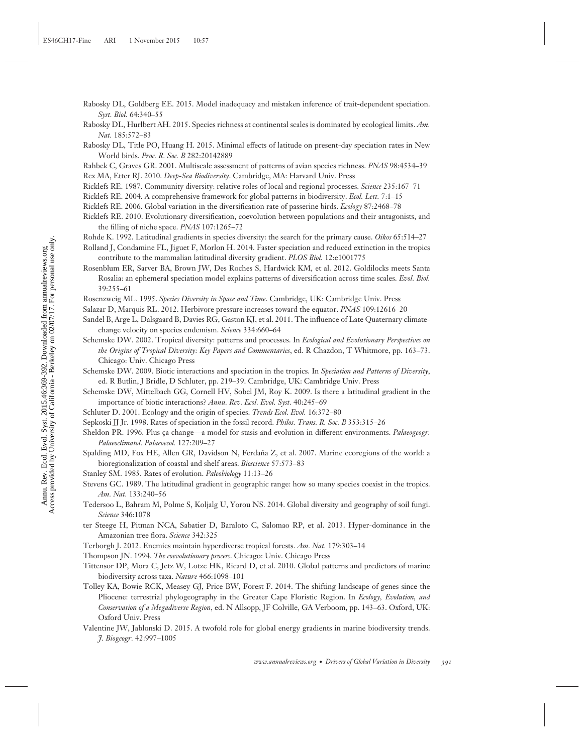- Rabosky DL, Goldberg EE. 2015. Model inadequacy and mistaken inference of trait-dependent speciation. *Syst. Biol.* 64:340–55
- Rabosky DL, Hurlbert AH. 2015. Species richness at continental scales is dominated by ecological limits. *Am. Nat.* 185:572–83
- Rabosky DL, Title PO, Huang H. 2015. Minimal effects of latitude on present-day speciation rates in New World birds. *Proc. R. Soc. B* 282:20142889
- Rahbek C, Graves GR. 2001. Multiscale assessment of patterns of avian species richness. *PNAS* 98:4534–39 Rex MA, Etter RJ. 2010. *Deep-Sea Biodiversity*. Cambridge, MA: Harvard Univ. Press
- Ricklefs RE. 1987. Community diversity: relative roles of local and regional processes. *Science* 235:167–71
- Ricklefs RE. 2004. A comprehensive framework for global patterns in biodiversity. *Ecol. Lett.* 7:1–15
- Ricklefs RE. 2006. Global variation in the diversification rate of passerine birds. *Ecology* 87:2468–78
- Ricklefs RE. 2010. Evolutionary diversification, coevolution between populations and their antagonists, and the filling of niche space. *PNAS* 107:1265–72
- Rohde K. 1992. Latitudinal gradients in species diversity: the search for the primary cause. *Oikos* 65:514–27
- Rolland J, Condamine FL, Jiguet F, Morlon H. 2014. Faster speciation and reduced extinction in the tropics contribute to the mammalian latitudinal diversity gradient. *PLOS Biol.* 12:e1001775
- Rosenblum ER, Sarver BA, Brown JW, Des Roches S, Hardwick KM, et al. 2012. Goldilocks meets Santa Rosalia: an ephemeral speciation model explains patterns of diversification across time scales. *Evol. Biol.* 39:255–61
- Rosenzweig ML. 1995. *Species Diversity in Space and Time*. Cambridge, UK: Cambridge Univ. Press
- Salazar D, Marquis RL. 2012. Herbivore pressure increases toward the equator. *PNAS* 109:12616–20
- Sandel B, Arge L, Dalsgaard B, Davies RG, Gaston KJ, et al. 2011. The influence of Late Quaternary climatechange velocity on species endemism. *Science* 334:660–64
- Schemske DW. 2002. Tropical diversity: patterns and processes. In *Ecological and Evolutionary Perspectives on the Origins of Tropical Diversity: Key Papers and Commentaries*, ed. R Chazdon, T Whitmore, pp. 163–73. Chicago: Univ. Chicago Press
- Schemske DW. 2009. Biotic interactions and speciation in the tropics. In *Speciation and Patterns of Diversity*, ed. R Butlin, J Bridle, D Schluter, pp. 219–39. Cambridge, UK: Cambridge Univ. Press
- Schemske DW, Mittelbach GG, Cornell HV, Sobel JM, Roy K. 2009. Is there a latitudinal gradient in the importance of biotic interactions? *Annu. Rev. Ecol. Evol. Syst.* 40:245–69
- Schluter D. 2001. Ecology and the origin of species. *Trends Ecol. Evol.* 16:372–80
- Sepkoski JJ Jr. 1998. Rates of speciation in the fossil record. *Philos. Trans. R. Soc. B* 353:315–26
- Sheldon PR. 1996. Plus ça change—a model for stasis and evolution in different environments. *Palaeogeogr*. *Palaeoclimatol. Palaeoecol.* 127:209–27
- Spalding MD, Fox HE, Allen GR, Davidson N, Ferdaña Z, et al. 2007. Marine ecoregions of the world: a bioregionalization of coastal and shelf areas. *Bioscience* 57:573–83
- Stanley SM. 1985. Rates of evolution. *Paleobiology* 11:13–26
- Stevens GC. 1989. The latitudinal gradient in geographic range: how so many species coexist in the tropics. *Am. Nat.* 133:240–56
- Tedersoo L, Bahram M, Polme S, Koljalg U, Yorou NS. 2014. Global diversity and geography of soil fungi. *Science* 346:1078
- ter Steege H, Pitman NCA, Sabatier D, Baraloto C, Salomao RP, et al. 2013. Hyper-dominance in the Amazonian tree flora. *Science* 342:325
- Terborgh J. 2012. Enemies maintain hyperdiverse tropical forests. *Am. Nat.* 179:303–14
- Thompson JN. 1994. *The coevolutionary process*. Chicago: Univ. Chicago Press
- Tittensor DP, Mora C, Jetz W, Lotze HK, Ricard D, et al. 2010. Global patterns and predictors of marine biodiversity across taxa. *Nature* 466:1098–101
- Tolley KA, Bowie RCK, Measey GJ, Price BW, Forest F. 2014. The shifting landscape of genes since the Pliocene: terrestrial phylogeography in the Greater Cape Floristic Region. In *Ecology, Evolution, and Conservation of a Megadiverse Region*, ed. N Allsopp, JF Colville, GA Verboom, pp. 143–63. Oxford, UK: Oxford Univ. Press
- Valentine JW, Jablonski D. 2015. A twofold role for global energy gradients in marine biodiversity trends. *J. Biogeogr.* 42:997–1005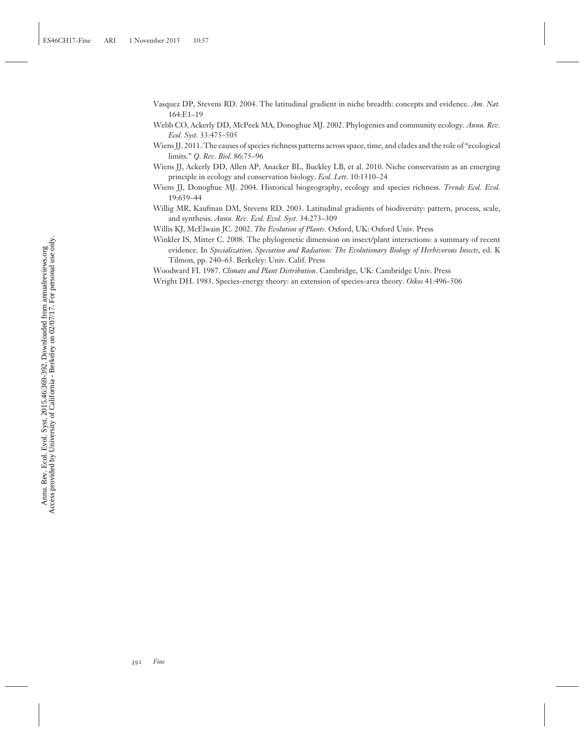- Vasquez DP, Stevens RD. 2004. The latitudinal gradient in niche breadth: concepts and evidence. *Am. Nat.* 164:E1–19
- Webb CO, Ackerly DD, McPeek MA, Donoghue MJ. 2002. Phylogenies and community ecology. *Annu. Rev. Ecol. Syst.* 33:475–505

Wiens JJ. 2011. The causes of species richness patterns across space, time, and clades and the role of "ecological limits." *Q. Rev. Biol.* 86:75–96

- Wiens JJ, Ackerly DD, Allen AP, Anacker BL, Buckley LB, et al. 2010. Niche conservatism as an emerging principle in ecology and conservation biology. *Ecol. Lett.* 10:1310–24
- Wiens JJ, Donoghue MJ. 2004. Historical biogeography, ecology and species richness. *Trends Ecol. Evol.* 19:639–44
- Willig MR, Kaufman DM, Stevens RD. 2003. Latitudinal gradients of biodiversity: pattern, process, scale, and synthesis. *Annu. Rev. Ecol. Evol. Syst.* 34:273–309

Willis KJ, McElwain JC. 2002. *The Evolution of Plants*. Oxford, UK: Oxford Univ. Press

Winkler IS, Mitter C. 2008. The phylogenetic dimension on insect/plant interactions: a summary of recent evidence. In *Specialization, Speciation and Radiation: The Evolutionary Biology of Herbivorous Insects*, ed. K Tilmon, pp. 240–63. Berkeley: Univ. Calif. Press

Woodward FI. 1987. *Climate and Plant Distribution*. Cambridge, UK: Cambridge Univ. Press

Wright DH. 1983. Species-energy theory: an extension of species-area theory. *Oikos* 41:496–506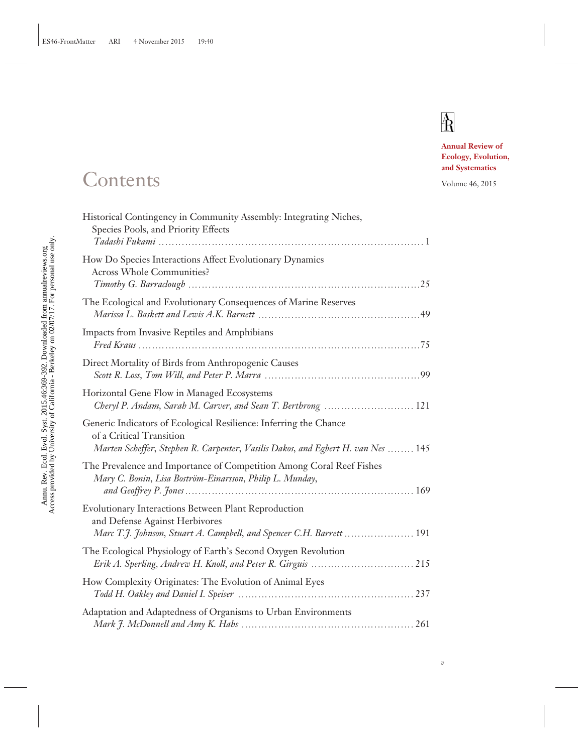# $\mathbb{A}$

*v*

**Annual Review of Ecology, Evolution, and Systematics**

### Contents Volume 46, 2015

| Historical Contingency in Community Assembly: Integrating Niches,<br>Species Pools, and Priority Effects                                                                          |
|-----------------------------------------------------------------------------------------------------------------------------------------------------------------------------------|
| How Do Species Interactions Affect Evolutionary Dynamics<br><b>Across Whole Communities?</b>                                                                                      |
| The Ecological and Evolutionary Consequences of Marine Reserves                                                                                                                   |
| Impacts from Invasive Reptiles and Amphibians                                                                                                                                     |
| Direct Mortality of Birds from Anthropogenic Causes                                                                                                                               |
| Horizontal Gene Flow in Managed Ecosystems<br>Cheryl P. Andam, Sarah M. Carver, and Sean T. Berthrong  121                                                                        |
| Generic Indicators of Ecological Resilience: Inferring the Chance<br>of a Critical Transition<br>Marten Scheffer, Stephen R. Carpenter, Vasilis Dakos, and Egbert H. van Nes  145 |
| The Prevalence and Importance of Competition Among Coral Reef Fishes<br>Mary C. Bonin, Lisa Boström-Einarsson, Philip L. Munday,                                                  |
| Evolutionary Interactions Between Plant Reproduction<br>and Defense Against Herbivores<br>Marc T.J. Johnson, Stuart A. Campbell, and Spencer C.H. Barrett  191                    |
| The Ecological Physiology of Earth's Second Oxygen Revolution                                                                                                                     |
| How Complexity Originates: The Evolution of Animal Eyes                                                                                                                           |
| Adaptation and Adaptedness of Organisms to Urban Environments                                                                                                                     |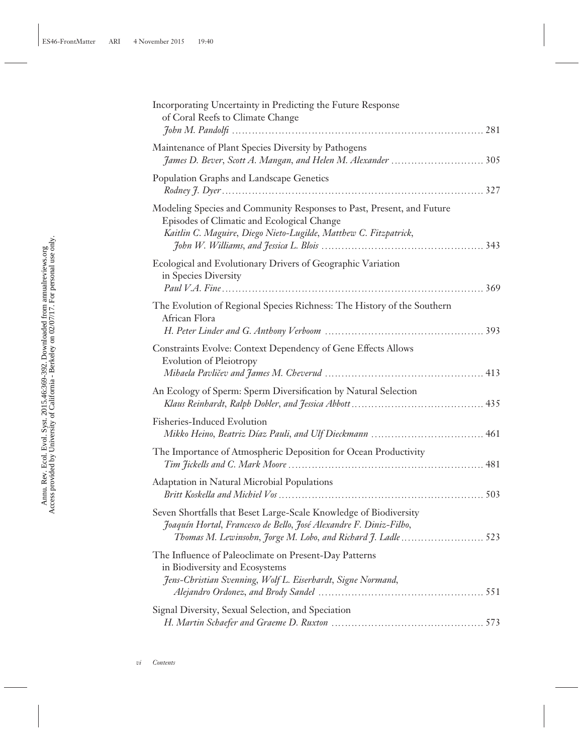| Incorporating Uncertainty in Predicting the Future Response<br>of Coral Reefs to Climate Change                                                                                                         |
|---------------------------------------------------------------------------------------------------------------------------------------------------------------------------------------------------------|
| Maintenance of Plant Species Diversity by Pathogens<br>James D. Bever, Scott A. Mangan, and Helen M. Alexander  305                                                                                     |
| Population Graphs and Landscape Genetics                                                                                                                                                                |
| Modeling Species and Community Responses to Past, Present, and Future<br>Episodes of Climatic and Ecological Change<br>Kaitlin C. Maguire, Diego Nieto-Lugilde, Matthew C. Fitzpatrick,                 |
| Ecological and Evolutionary Drivers of Geographic Variation<br>in Species Diversity                                                                                                                     |
| The Evolution of Regional Species Richness: The History of the Southern<br>African Flora                                                                                                                |
| Constraints Evolve: Context Dependency of Gene Effects Allows<br><b>Evolution of Pleiotropy</b>                                                                                                         |
| An Ecology of Sperm: Sperm Diversification by Natural Selection                                                                                                                                         |
| Fisheries-Induced Evolution                                                                                                                                                                             |
| The Importance of Atmospheric Deposition for Ocean Productivity                                                                                                                                         |
| Adaptation in Natural Microbial Populations                                                                                                                                                             |
| Seven Shortfalls that Beset Large-Scale Knowledge of Biodiversity<br>Joaquín Hortal, Francesco de Bello, José Alexandre F. Diniz-Filho,<br>Thomas M. Lewinsohn, Jorge M. Lobo, and Richard J. Ladle 523 |
| The Influence of Paleoclimate on Present-Day Patterns<br>in Biodiversity and Ecosystems<br>Jens-Christian Svenning, Wolf L. Eiserhardt, Signe Normand,                                                  |
| Signal Diversity, Sexual Selection, and Speciation                                                                                                                                                      |